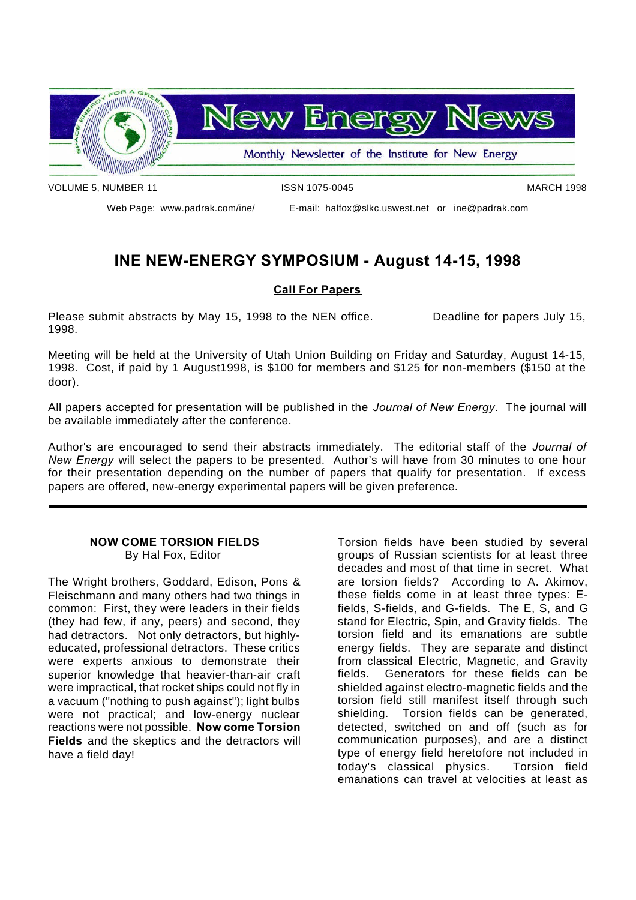

VOLUME 5, NUMBER 11 **ISSN 1075-0045** MARCH 1998

Web Page: www.padrak.com/ine/ E-mail: halfox@slkc.uswest.net or ine@padrak.com

## **INE NEW-ENERGY SYMPOSIUM - August 14-15, 1998**

#### **Call For Papers**

Please submit abstracts by May 15, 1998 to the NEN office. Deadline for papers July 15, 1998.

Meeting will be held at the University of Utah Union Building on Friday and Saturday, August 14-15, 1998. Cost, if paid by 1 August1998, is \$100 for members and \$125 for non-members (\$150 at the door).

All papers accepted for presentation will be published in the *Journal of New Energy*. The journal will be available immediately after the conference.

Author's are encouraged to send their abstracts immediately. The editorial staff of the *Journal of New Energy* will select the papers to be presented. Author's will have from 30 minutes to one hour for their presentation depending on the number of papers that qualify for presentation. If excess papers are offered, new-energy experimental papers will be given preference.

#### **NOW COME TORSION FIELDS** By Hal Fox, Editor

The Wright brothers, Goddard, Edison, Pons & Fleischmann and many others had two things in common: First, they were leaders in their fields (they had few, if any, peers) and second, they had detractors. Not only detractors, but highlyeducated, professional detractors. These critics were experts anxious to demonstrate their superior knowledge that heavier-than-air craft were impractical, that rocket ships could not fly in a vacuum ("nothing to push against"); light bulbs were not practical; and low-energy nuclear reactions were not possible. **Now come Torsion Fields** and the skeptics and the detractors will have a field day!

Torsion fields have been studied by several groups of Russian scientists for at least three decades and most of that time in secret. What are torsion fields? According to A. Akimov, these fields come in at least three types: Efields, S-fields, and G-fields. The E, S, and G stand for Electric, Spin, and Gravity fields. The torsion field and its emanations are subtle energy fields. They are separate and distinct from classical Electric, Magnetic, and Gravity fields. Generators for these fields can be shielded against electro-magnetic fields and the torsion field still manifest itself through such shielding. Torsion fields can be generated, detected, switched on and off (such as for communication purposes), and are a distinct type of energy field heretofore not included in today's classical physics. Torsion field emanations can travel at velocities at least as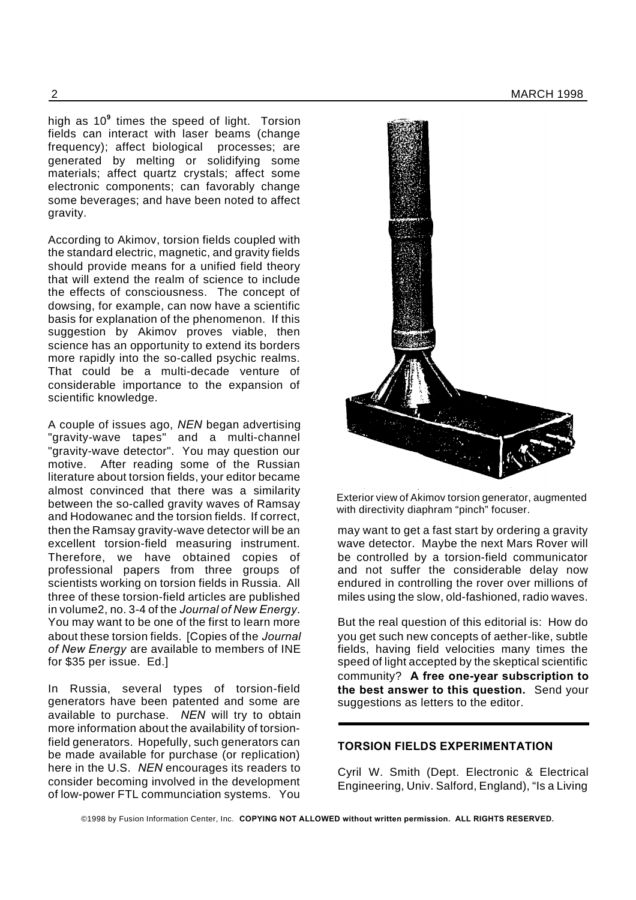high as 10**<sup>9</sup>** times the speed of light. Torsion fields can interact with laser beams (change frequency); affect biological processes; are generated by melting or solidifying some materials; affect quartz crystals; affect some electronic components; can favorably change some beverages; and have been noted to affect gravity.

According to Akimov, torsion fields coupled with the standard electric, magnetic, and gravity fields should provide means for a unified field theory that will extend the realm of science to include the effects of consciousness. The concept of dowsing, for example, can now have a scientific basis for explanation of the phenomenon. If this suggestion by Akimov proves viable, then science has an opportunity to extend its borders more rapidly into the so-called psychic realms. That could be a multi-decade venture of considerable importance to the expansion of scientific knowledge.

A couple of issues ago, *NEN* began advertising "gravity-wave tapes" and a multi-channel "gravity-wave detector". You may question our motive. After reading some of the Russian literature about torsion fields, your editor became almost convinced that there was a similarity between the so-called gravity waves of Ramsay and Hodowanec and the torsion fields. If correct, then the Ramsay gravity-wave detector will be an excellent torsion-field measuring instrument. Therefore, we have obtained copies of professional papers from three groups of scientists working on torsion fields in Russia. All three of these torsion-field articles are published in volume2, no. 3-4 of the *Journal of New Energy*. You may want to be one of the first to learn more about these torsion fields. [Copies of the *Journal of New Energy* are available to members of INE for \$35 per issue. Ed.]

In Russia, several types of torsion-field generators have been patented and some are available to purchase. *NEN* will try to obtain more information about the availability of torsionfield generators. Hopefully, such generators can be made available for purchase (or replication) here in the U.S. *NEN* encourages its readers to consider becoming involved in the development of low-power FTL communciation systems. You



Exterior view of Akimov torsion generator, augmented with directivity diaphram "pinch" focuser.

may want to get a fast start by ordering a gravity wave detector. Maybe the next Mars Rover will be controlled by a torsion-field communicator and not suffer the considerable delay now endured in controlling the rover over millions of miles using the slow, old-fashioned, radio waves.

But the real question of this editorial is: How do you get such new concepts of aether-like, subtle fields, having field velocities many times the speed of light accepted by the skeptical scientific community? **A free one-year subscription to the best answer to this question.** Send your suggestions as letters to the editor.

#### **TORSION FIELDS EXPERIMENTATION**

Cyril W. Smith (Dept. Electronic & Electrical Engineering, Univ. Salford, England), "Is a Living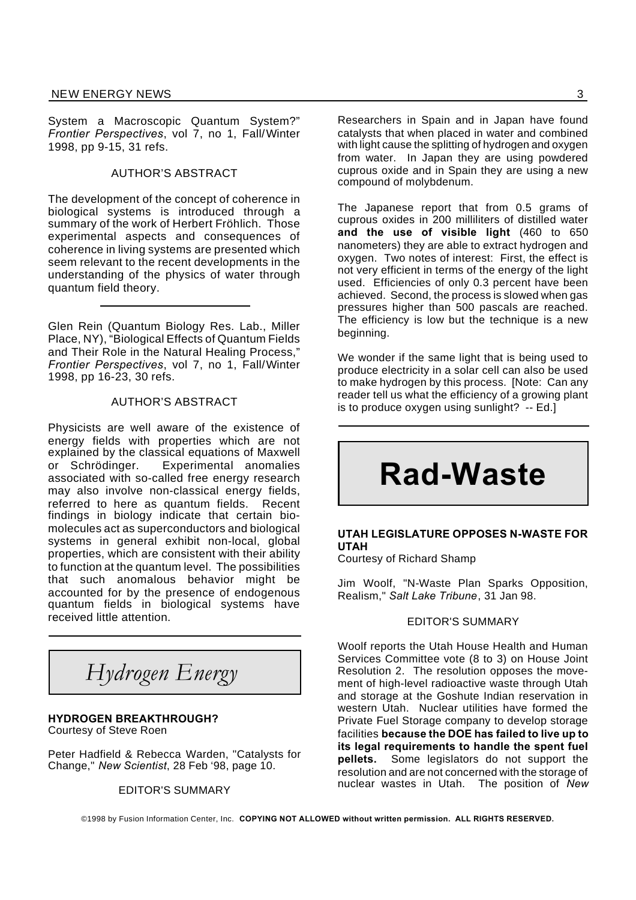System a Macroscopic Quantum System?" *Frontier Perspectives*, vol 7, no 1, Fall/Winter 1998, pp 9-15, 31 refs.

#### AUTHOR'S ABSTRACT

The development of the concept of coherence in biological systems is introduced through a summary of the work of Herbert Fröhlich. Those experimental aspects and consequences of coherence in living systems are presented which seem relevant to the recent developments in the understanding of the physics of water through quantum field theory.

Glen Rein (Quantum Biology Res. Lab., Miller Place, NY), "Biological Effects of Quantum Fields and Their Role in the Natural Healing Process," *Frontier Perspectives*, vol 7, no 1, Fall/Winter 1998, pp 16-23, 30 refs.

#### AUTHOR'S ABSTRACT

Physicists are well aware of the existence of energy fields with properties which are not explained by the classical equations of Maxwell or Schrödinger. Experimental anomalies associated with so-called free energy research may also involve non-classical energy fields, referred to here as quantum fields. Recent findings in biology indicate that certain biomolecules act as superconductors and biological systems in general exhibit non-local, global properties, which are consistent with their ability to function at the quantum level. The possibilities that such anomalous behavior might be accounted for by the presence of endogenous quantum fields in biological systems have received little attention.

*Hydrogen Energy*

### **HYDROGEN BREAKTHROUGH?**

Courtesy of Steve Roen

Peter Hadfield & Rebecca Warden, "Catalysts for Change," *New Scientist*, 28 Feb '98, page 10.

#### EDITOR'S SUMMARY

Researchers in Spain and in Japan have found catalysts that when placed in water and combined with light cause the splitting of hydrogen and oxygen from water. In Japan they are using powdered cuprous oxide and in Spain they are using a new compound of molybdenum.

The Japanese report that from 0.5 grams of cuprous oxides in 200 milliliters of distilled water **and the use of visible light** (460 to 650 nanometers) they are able to extract hydrogen and oxygen. Two notes of interest: First, the effect is not very efficient in terms of the energy of the light used. Efficiencies of only 0.3 percent have been achieved. Second, the process is slowed when gas pressures higher than 500 pascals are reached. The efficiency is low but the technique is a new beginning.

We wonder if the same light that is being used to produce electricity in a solar cell can also be used to make hydrogen by this process. [Note: Can any reader tell us what the efficiency of a growing plant is to produce oxygen using sunlight? -- Ed.]

# **Rad-Waste**

#### **UTAH LEGISLATURE OPPOSES N-WASTE FOR UTAH**

Courtesy of Richard Shamp

Jim Woolf, "N-Waste Plan Sparks Opposition, Realism," *Salt Lake Tribune*, 31 Jan 98.

#### EDITOR'S SUMMARY

Woolf reports the Utah House Health and Human Services Committee vote (8 to 3) on House Joint Resolution 2. The resolution opposes the movement of high-level radioactive waste through Utah and storage at the Goshute Indian reservation in western Utah. Nuclear utilities have formed the Private Fuel Storage company to develop storage facilities **because the DOE has failed to live up to its legal requirements to handle the spent fuel pellets.** Some legislators do not support the resolution and are not concerned with the storage of nuclear wastes in Utah. The position of *New*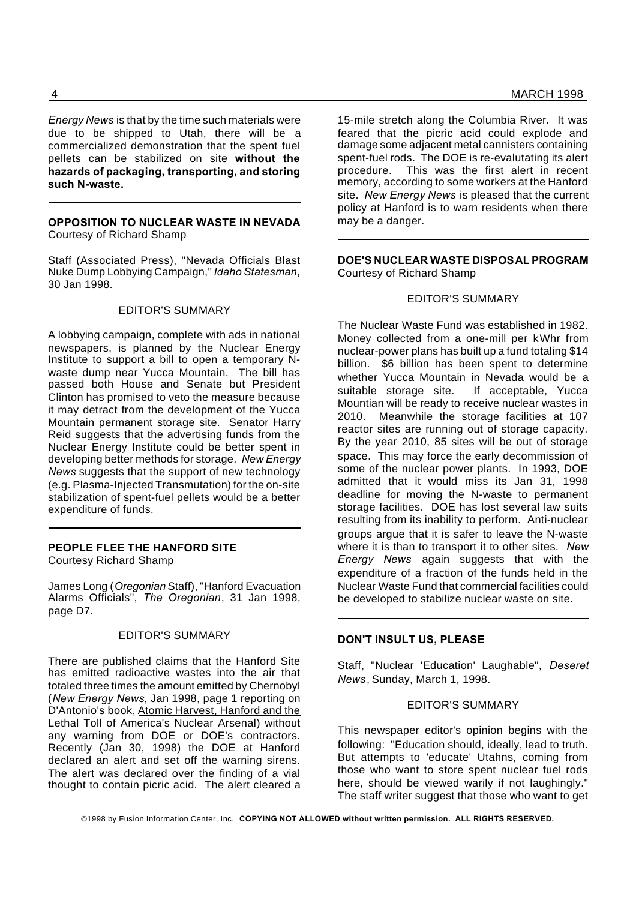*Energy News* is that by the time such materials were due to be shipped to Utah, there will be a commercialized demonstration that the spent fuel pellets can be stabilized on site **without the hazards of packaging, transporting, and storing such N-waste.**

#### **OPPOSITION TO NUCLEAR WASTE IN NEVADA** Courtesy of Richard Shamp

Staff (Associated Press), "Nevada Officials Blast Nuke Dump Lobbying Campaign," *Idaho Statesman*, 30 Jan 1998.

#### EDITOR'S SUMMARY

A lobbying campaign, complete with ads in national newspapers, is planned by the Nuclear Energy Institute to support a bill to open a temporary Nwaste dump near Yucca Mountain. The bill has passed both House and Senate but President Clinton has promised to veto the measure because it may detract from the development of the Yucca Mountain permanent storage site. Senator Harry Reid suggests that the advertising funds from the Nuclear Energy Institute could be better spent in developing better methods for storage. *New Energy News* suggests that the support of new technology (e.g. Plasma-Injected Transmutation) for the on-site stabilization of spent-fuel pellets would be a better expenditure of funds.

#### **PEOPLE FLEE THE HANFORD SITE**

Courtesy Richard Shamp

James Long (*Oregonian* Staff), "Hanford Evacuation Alarms Officials", *The Oregonian*, 31 Jan 1998, page D7.

#### EDITOR'S SUMMARY

There are published claims that the Hanford Site has emitted radioactive wastes into the air that totaled three times the amount emitted by Chernobyl (*New Energy News*, Jan 1998, page 1 reporting on D'Antonio's book, Atomic Harvest, Hanford and the Lethal Toll of America's Nuclear Arsenal) without any warning from DOE or DOE's contractors. Recently (Jan 30, 1998) the DOE at Hanford declared an alert and set off the warning sirens. The alert was declared over the finding of a vial thought to contain picric acid. The alert cleared a

15-mile stretch along the Columbia River. It was feared that the picric acid could explode and damage some adjacent metal cannisters containing spent-fuel rods. The DOE is re-evalutating its alert procedure. This was the first alert in recent memory, according to some workers at the Hanford site. *New Energy News* is pleased that the current policy at Hanford is to warn residents when there may be a danger.

#### **DOE'S NUCLEAR WASTE DISPOSAL PROGRAM** Courtesy of Richard Shamp

#### EDITOR'S SUMMARY

The Nuclear Waste Fund was established in 1982. Money collected from a one-mill per kWhr from nuclear-power plans has built up a fund totaling \$14 billion. \$6 billion has been spent to determine whether Yucca Mountain in Nevada would be a suitable storage site. If acceptable, Yucca Mountian will be ready to receive nuclear wastes in 2010. Meanwhile the storage facilities at 107 reactor sites are running out of storage capacity. By the year 2010, 85 sites will be out of storage space. This may force the early decommission of some of the nuclear power plants. In 1993, DOE admitted that it would miss its Jan 31, 1998 deadline for moving the N-waste to permanent storage facilities. DOE has lost several law suits resulting from its inability to perform. Anti-nuclear groups argue that it is safer to leave the N-waste where it is than to transport it to other sites. *New Energy News* again suggests that with the expenditure of a fraction of the funds held in the Nuclear Waste Fund that commercial facilities could be developed to stabilize nuclear waste on site.

#### **DON'T INSULT US, PLEASE**

Staff, "Nuclear 'Education' Laughable", *Deseret News*, Sunday, March 1, 1998.

#### EDITOR'S SUMMARY

This newspaper editor's opinion begins with the following: "Education should, ideally, lead to truth. But attempts to 'educate' Utahns, coming from those who want to store spent nuclear fuel rods here, should be viewed warily if not laughingly." The staff writer suggest that those who want to get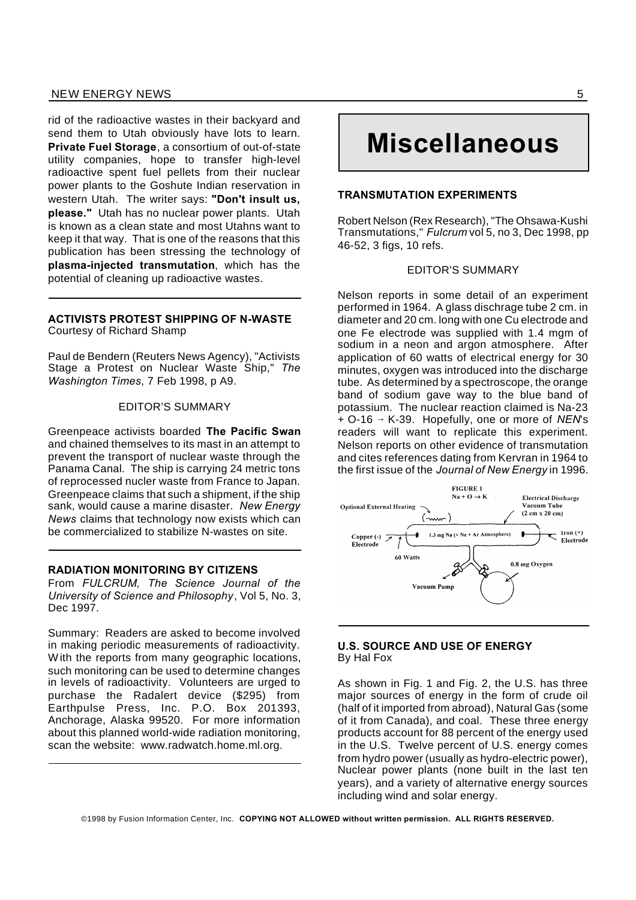#### NEW ENERGY NEWS 55

rid of the radioactive wastes in their backyard and send them to Utah obviously have lots to learn. **Private Fuel Storage**, a consortium of out-of-state utility companies, hope to transfer high-level radioactive spent fuel pellets from their nuclear power plants to the Goshute Indian reservation in western Utah. The writer says: **"Don't insult us, please."** Utah has no nuclear power plants. Utah is known as a clean state and most Utahns want to keep it that way. That is one of the reasons that this publication has been stressing the technology of **plasma-injected transmutation**, which has the potential of cleaning up radioactive wastes.

#### **ACTIVISTS PROTEST SHIPPING OF N-WASTE** Courtesy of Richard Shamp

Paul de Bendern (Reuters News Agency), "Activists Stage a Protest on Nuclear Waste Ship," *The Washington Times*, 7 Feb 1998, p A9.

#### EDITOR'S SUMMARY

Greenpeace activists boarded **The Pacific Swan** and chained themselves to its mast in an attempt to prevent the transport of nuclear waste through the Panama Canal. The ship is carrying 24 metric tons of reprocessed nucler waste from France to Japan. Greenpeace claims that such a shipment, if the ship sank, would cause a marine disaster. *New Energy News* claims that technology now exists which can be commercialized to stabilize N-wastes on site.

#### **RADIATION MONITORING BY CITIZENS**

From *FULCRUM, The Science Journal of the University of Science and Philosophy*, Vol 5, No. 3, Dec 1997.

Summary: Readers are asked to become involved in making periodic measurements of radioactivity. With the reports from many geographic locations, such monitoring can be used to determine changes in levels of radioactivity. Volunteers are urged to purchase the Radalert device (\$295) from Earthpulse Press, Inc. P.O. Box 201393, Anchorage, Alaska 99520. For more information about this planned world-wide radiation monitoring, scan the website: www.radwatch.home.ml.org.

# **Miscellaneous**

#### **TRANSMUTATION EXPERIMENTS**

Robert Nelson (Rex Research), "The Ohsawa-Kushi Transmutations," *Fulcrum* vol 5, no 3, Dec 1998, pp 46-52, 3 figs, 10 refs.

#### EDITOR'S SUMMARY

Nelson reports in some detail of an experiment performed in 1964. A glass dischrage tube 2 cm. in diameter and 20 cm. long with one Cu electrode and one Fe electrode was supplied with 1.4 mgm of sodium in a neon and argon atmosphere. After application of 60 watts of electrical energy for 30 minutes, oxygen was introduced into the discharge tube. As determined by a spectroscope, the orange band of sodium gave way to the blue band of potassium. The nuclear reaction claimed is Na-23  $+$  O-16  $\rightarrow$  K-39. Hopefully, one or more of *NEN*'s readers will want to replicate this experiment. Nelson reports on other evidence of transmutation and cites references dating from Kervran in 1964 to the first issue of the *Journal of New Energy* in 1996.



#### **U.S. SOURCE AND USE OF ENERGY** By Hal Fox

As shown in Fig. 1 and Fig. 2, the U.S. has three major sources of energy in the form of crude oil (half of it imported from abroad), Natural Gas (some of it from Canada), and coal. These three energy products account for 88 percent of the energy used in the U.S. Twelve percent of U.S. energy comes from hydro power (usually as hydro-electric power), Nuclear power plants (none built in the last ten years), and a variety of alternative energy sources including wind and solar energy.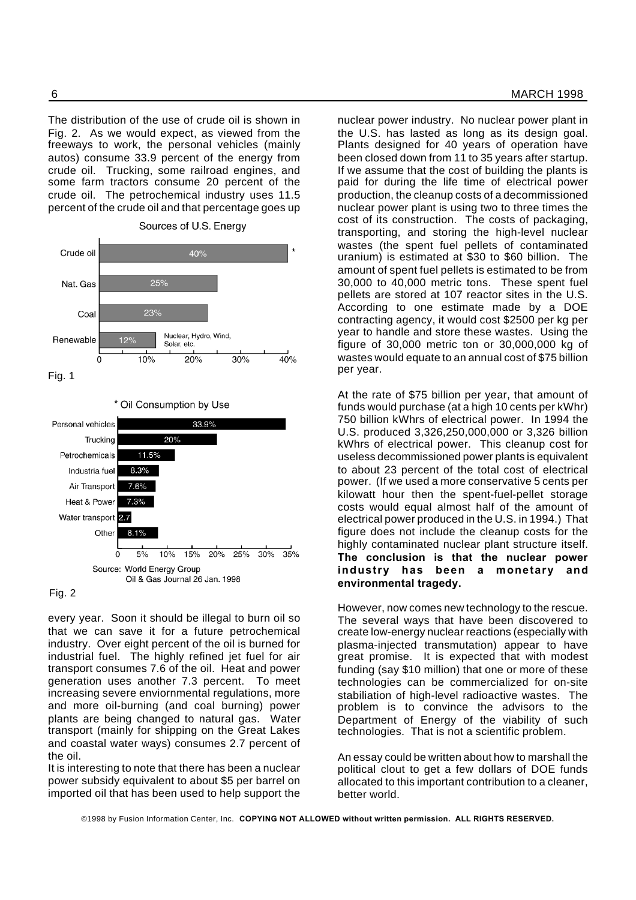The distribution of the use of crude oil is shown in Fig. 2. As we would expect, as viewed from the freeways to work, the personal vehicles (mainly autos) consume 33.9 percent of the energy from crude oil. Trucking, some railroad engines, and some farm tractors consume 20 percent of the crude oil. The petrochemical industry uses 11.5 percent of the crude oil and that percentage goes up











every year. Soon it should be illegal to burn oil so that we can save it for a future petrochemical industry. Over eight percent of the oil is burned for industrial fuel. The highly refined jet fuel for air transport consumes 7.6 of the oil. Heat and power generation uses another 7.3 percent. To meet increasing severe enviornmental regulations, more and more oil-burning (and coal burning) power plants are being changed to natural gas. Water transport (mainly for shipping on the Great Lakes and coastal water ways) consumes 2.7 percent of the oil.

It is interesting to note that there has been a nuclear power subsidy equivalent to about \$5 per barrel on imported oil that has been used to help support the

nuclear power industry. No nuclear power plant in the U.S. has lasted as long as its design goal. Plants designed for 40 years of operation have been closed down from 11 to 35 years after startup. If we assume that the cost of building the plants is paid for during the life time of electrical power production, the cleanup costs of a decommissioned nuclear power plant is using two to three times the cost of its construction. The costs of packaging, transporting, and storing the high-level nuclear wastes (the spent fuel pellets of contaminated uranium) is estimated at \$30 to \$60 billion. The amount of spent fuel pellets is estimated to be from 30,000 to 40,000 metric tons. These spent fuel pellets are stored at 107 reactor sites in the U.S. According to one estimate made by a DOE contracting agency, it would cost \$2500 per kg per year to handle and store these wastes. Using the figure of 30,000 metric ton or 30,000,000 kg of wastes would equate to an annual cost of \$75 billion per year.

At the rate of \$75 billion per year, that amount of funds would purchase (at a high 10 cents per kWhr) 750 billion kWhrs of electrical power. In 1994 the U.S. produced 3,326,250,000,000 or 3,326 billion kWhrs of electrical power. This cleanup cost for useless decommissioned power plants is equivalent to about 23 percent of the total cost of electrical power. (If we used a more conservative 5 cents per kilowatt hour then the spent-fuel-pellet storage costs would equal almost half of the amount of electrical power produced in the U.S. in 1994.) That figure does not include the cleanup costs for the highly contaminated nuclear plant structure itself. **The conclusion is that the nuclear power industry has been a monetary and environmental tragedy.**

However, now comes new technology to the rescue. The several ways that have been discovered to create low-energy nuclear reactions (especially with plasma-injected transmutation) appear to have great promise. It is expected that with modest funding (say \$10 million) that one or more of these technologies can be commercialized for on-site stabiliation of high-level radioactive wastes. The problem is to convince the advisors to the Department of Energy of the viability of such technologies. That is not a scientific problem.

An essay could be written about how to marshall the political clout to get a few dollars of DOE funds allocated to this important contribution to a cleaner, better world.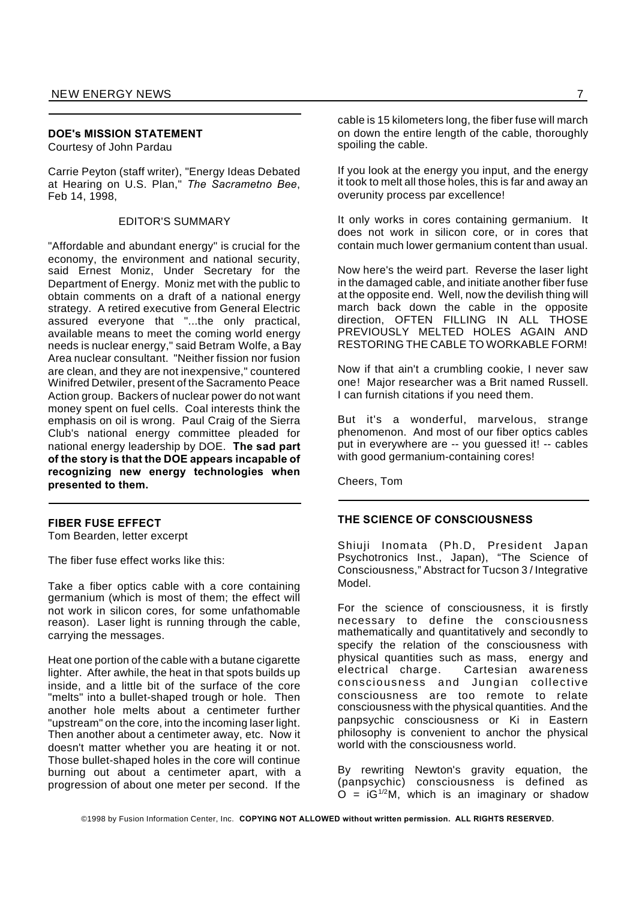#### **DOE's MISSION STATEMENT**

Courtesy of John Pardau

Carrie Peyton (staff writer), "Energy Ideas Debated at Hearing on U.S. Plan," *The Sacrametno Bee*, Feb 14, 1998,

#### EDITOR'S SUMMARY

"Affordable and abundant energy" is crucial for the economy, the environment and national security, said Ernest Moniz, Under Secretary for the Department of Energy. Moniz met with the public to obtain comments on a draft of a national energy strategy. A retired executive from General Electric assured everyone that "...the only practical, available means to meet the coming world energy needs is nuclear energy," said Betram Wolfe, a Bay Area nuclear consultant. "Neither fission nor fusion are clean, and they are not inexpensive," countered Winifred Detwiler, present of the Sacramento Peace Action group. Backers of nuclear power do not want money spent on fuel cells. Coal interests think the emphasis on oil is wrong. Paul Craig of the Sierra Club's national energy committee pleaded for national energy leadership by DOE. **The sad part of the story is that the DOE appears incapable of recognizing new energy technologies when presented to them.**

#### **FIBER FUSE EFFECT**

Tom Bearden, letter excerpt

The fiber fuse effect works like this:

Take a fiber optics cable with a core containing germanium (which is most of them; the effect will not work in silicon cores, for some unfathomable reason). Laser light is running through the cable, carrying the messages.

Heat one portion of the cable with a butane cigarette lighter. After awhile, the heat in that spots builds up inside, and a little bit of the surface of the core "melts" into a bullet-shaped trough or hole. Then another hole melts about a centimeter further "upstream" on the core, into the incoming laser light. Then another about a centimeter away, etc. Now it doesn't matter whether you are heating it or not. Those bullet-shaped holes in the core will continue burning out about a centimeter apart, with a progression of about one meter per second. If the

cable is 15 kilometers long, the fiber fuse will march on down the entire length of the cable, thoroughly spoiling the cable.

If you look at the energy you input, and the energy it took to melt all those holes, this is far and away an overunity process par excellence!

It only works in cores containing germanium. It does not work in silicon core, or in cores that contain much lower germanium content than usual.

Now here's the weird part. Reverse the laser light in the damaged cable, and initiate another fiber fuse at the opposite end. Well, now the devilish thing will march back down the cable in the opposite direction, OFTEN FILLING IN ALL THOSE PREVIOUSLY MELTED HOLES AGAIN AND RESTORING THE CABLE TO WORKABLE FORM!

Now if that ain't a crumbling cookie, I never saw one! Major researcher was a Brit named Russell. I can furnish citations if you need them.

But it's a wonderful, marvelous, strange phenomenon. And most of our fiber optics cables put in everywhere are -- you guessed it! -- cables with good germanium-containing cores!

Cheers, Tom

#### **THE SCIENCE OF CONSCIOUSNESS**

Shiuji Inomata (Ph.D, President Japan Psychotronics Inst., Japan), "The Science of Consciousness," Abstract for Tucson 3 / Integrative Model.

For the science of consciousness, it is firstly necessary to define the consciousness mathematically and quantitatively and secondly to specify the relation of the consciousness with physical quantities such as mass, energy and electrical charge. Cartesian awareness consciousness and Jungian collective consciousness are too remote to relate consciousness with the physical quantities. And the panpsychic consciousness or Ki in Eastern philosophy is convenient to anchor the physical world with the consciousness world.

By rewriting Newton's gravity equation, the (panpsychic) consciousness is defined as  $O = IG^{1/2}M$ , which is an imaginary or shadow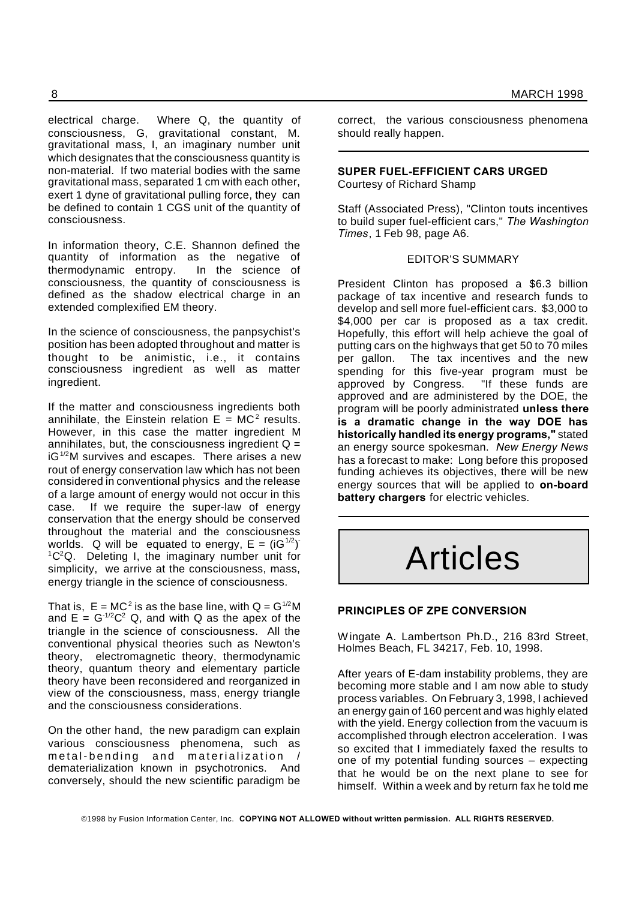electrical charge. Where Q, the quantity of consciousness, G, gravitational constant, M. gravitational mass, I, an imaginary number unit which designates that the consciousness quantity is non-material. If two material bodies with the same gravitational mass, separated 1 cm with each other, exert 1 dyne of gravitational pulling force, they can be defined to contain 1 CGS unit of the quantity of consciousness.

In information theory, C.E. Shannon defined the quantity of information as the negative of thermodynamic entropy. In the science of consciousness, the quantity of consciousness is defined as the shadow electrical charge in an extended complexified EM theory.

In the science of consciousness, the panpsychist's position has been adopted throughout and matter is thought to be animistic, i.e., it contains consciousness ingredient as well as matter ingredient.

If the matter and consciousness ingredients both annihilate, the Einstein relation  $E = MC^2$  results. However, in this case the matter ingredient M annihilates, but, the consciousness ingredient  $Q =$  $iG^{1/2}M$  survives and escapes. There arises a new rout of energy conservation law which has not been considered in conventional physics and the release of a large amount of energy would not occur in this case. If we require the super-law of energy conservation that the energy should be conserved throughout the material and the consciousness worlds. Q will be equated to energy,  $E = (iG^{1/2})^T$  ${}^{1}C^{2}Q$ . Deleting I, the imaginary number unit for simplicity, we arrive at the consciousness, mass, energy triangle in the science of consciousness.

That is,  $E = MC^2$  is as the base line, with  $Q = G^{1/2}M$ and  $E = G^{-1/2}C^2$  Q, and with Q as the apex of the triangle in the science of consciousness. All the conventional physical theories such as Newton's theory, electromagnetic theory, thermodynamic theory, quantum theory and elementary particle theory have been reconsidered and reorganized in view of the consciousness, mass, energy triangle and the consciousness considerations.

On the other hand, the new paradigm can explain various consciousness phenomena, such as metal-bending and materialization / dematerialization known in psychotronics. And conversely, should the new scientific paradigm be

correct, the various consciousness phenomena should really happen.

#### **SUPER FUEL-EFFICIENT CARS URGED** Courtesy of Richard Shamp

Staff (Associated Press), "Clinton touts incentives to build super fuel-efficient cars," *The Washington Times*, 1 Feb 98, page A6.

#### EDITOR'S SUMMARY

President Clinton has proposed a \$6.3 billion package of tax incentive and research funds to develop and sell more fuel-efficient cars. \$3,000 to \$4,000 per car is proposed as a tax credit. Hopefully, this effort will help achieve the goal of putting cars on the highways that get 50 to 70 miles per gallon. The tax incentives and the new spending for this five-year program must be approved by Congress. "If these funds are approved and are administered by the DOE, the program will be poorly administrated **unless there is a dramatic change in the way DOE has historically handled its energy programs,"** stated an energy source spokesman. *New Energy News* has a forecast to make: Long before this proposed funding achieves its objectives, there will be new energy sources that will be applied to **on-board battery chargers** for electric vehicles.

# Articles

#### **PRINCIPLES OF ZPE CONVERSION**

Wingate A. Lambertson Ph.D., 216 83rd Street, Holmes Beach, FL 34217, Feb. 10, 1998.

After years of E-dam instability problems, they are becoming more stable and I am now able to study process variables. On February 3, 1998, I achieved an energy gain of 160 percent and was highly elated with the yield. Energy collection from the vacuum is accomplished through electron acceleration. I was so excited that I immediately faxed the results to one of my potential funding sources – expecting that he would be on the next plane to see for himself. Within a week and by return fax he told me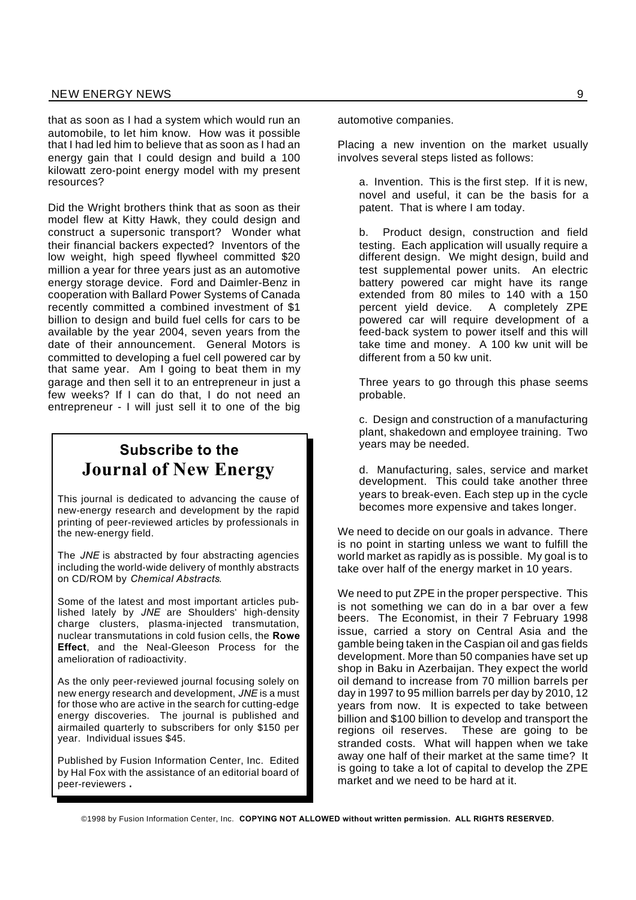that as soon as I had a system which would run an automobile, to let him know. How was it possible that I had led him to believe that as soon as I had an energy gain that I could design and build a 100 kilowatt zero-point energy model with my present resources?

Did the Wright brothers think that as soon as their model flew at Kitty Hawk, they could design and construct a supersonic transport? Wonder what their financial backers expected? Inventors of the low weight, high speed flywheel committed \$20 million a year for three years just as an automotive energy storage device. Ford and Daimler-Benz in cooperation with Ballard Power Systems of Canada recently committed a combined investment of \$1 billion to design and build fuel cells for cars to be available by the year 2004, seven years from the date of their announcement. General Motors is committed to developing a fuel cell powered car by that same year. Am I going to beat them in my garage and then sell it to an entrepreneur in just a few weeks? If I can do that, I do not need an entrepreneur - I will just sell it to one of the big

## **Subscribe to the Journal of New Energy**

This journal is dedicated to advancing the cause of new-energy research and development by the rapid printing of peer-reviewed articles by professionals in the new-energy field.

The *JNE* is abstracted by four abstracting agencies including the world-wide delivery of monthly abstracts on CD/ROM by *Chemical Abstracts*.

Some of the latest and most important articles published lately by *JNE* are Shoulders' high-density charge clusters, plasma-injected transmutation, nuclear transmutations in cold fusion cells, the **Rowe Effect**, and the Neal-Gleeson Process for the amelioration of radioactivity.

As the only peer-reviewed journal focusing solely on new energy research and development, *JNE* is a must for those who are active in the search for cutting-edge energy discoveries. The journal is published and airmailed quarterly to subscribers for only \$150 per year. Individual issues \$45.

Published by Fusion Information Center, Inc. Edited by Hal Fox with the assistance of an editorial board of peer-reviewers.

automotive companies.

Placing a new invention on the market usually involves several steps listed as follows:

a. Invention. This is the first step. If it is new, novel and useful, it can be the basis for a patent. That is where I am today.

b. Product design, construction and field testing. Each application will usually require a different design. We might design, build and test supplemental power units. An electric battery powered car might have its range extended from 80 miles to 140 with a 150 percent yield device. A completely ZPE powered car will require development of a feed-back system to power itself and this will take time and money. A 100 kw unit will be different from a 50 kw unit.

Three years to go through this phase seems probable.

c. Design and construction of a manufacturing plant, shakedown and employee training. Two years may be needed.

d. Manufacturing, sales, service and market development. This could take another three years to break-even. Each step up in the cycle becomes more expensive and takes longer.

We need to decide on our goals in advance. There is no point in starting unless we want to fulfill the world market as rapidly as is possible. My goal is to take over half of the energy market in 10 years.

We need to put ZPE in the proper perspective. This is not something we can do in a bar over a few beers. The Economist, in their 7 February 1998 issue, carried a story on Central Asia and the gamble being taken in the Caspian oil and gas fields development. More than 50 companies have set up shop in Baku in Azerbaijan. They expect the world oil demand to increase from 70 million barrels per day in 1997 to 95 million barrels per day by 2010, 12 years from now. It is expected to take between billion and \$100 billion to develop and transport the regions oil reserves. These are going to be stranded costs. What will happen when we take away one half of their market at the same time? It is going to take a lot of capital to develop the ZPE market and we need to be hard at it.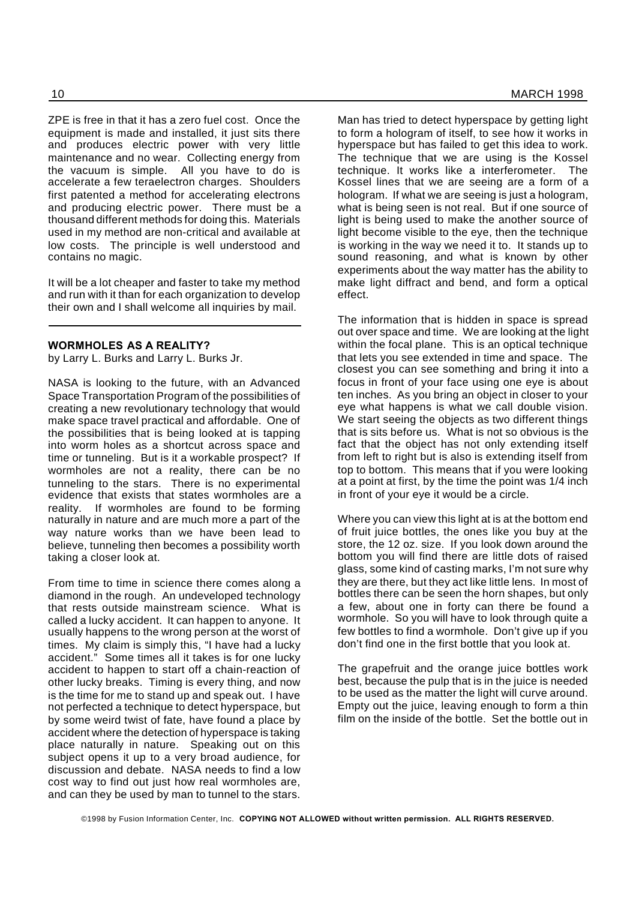ZPE is free in that it has a zero fuel cost. Once the equipment is made and installed, it just sits there and produces electric power with very little maintenance and no wear. Collecting energy from the vacuum is simple. All you have to do is accelerate a few teraelectron charges. Shoulders first patented a method for accelerating electrons and producing electric power. There must be a thousand different methods for doing this. Materials used in my method are non-critical and available at low costs. The principle is well understood and contains no magic.

It will be a lot cheaper and faster to take my method and run with it than for each organization to develop their own and I shall welcome all inquiries by mail.

#### **WORMHOLES AS A REALITY?**

by Larry L. Burks and Larry L. Burks Jr.

NASA is looking to the future, with an Advanced Space Transportation Program of the possibilities of creating a new revolutionary technology that would make space travel practical and affordable. One of the possibilities that is being looked at is tapping into worm holes as a shortcut across space and time or tunneling. But is it a workable prospect? If wormholes are not a reality, there can be no tunneling to the stars. There is no experimental evidence that exists that states wormholes are a reality. If wormholes are found to be forming naturally in nature and are much more a part of the way nature works than we have been lead to believe, tunneling then becomes a possibility worth taking a closer look at.

From time to time in science there comes along a diamond in the rough. An undeveloped technology that rests outside mainstream science. What is called a lucky accident. It can happen to anyone. It usually happens to the wrong person at the worst of times. My claim is simply this, "I have had a lucky accident." Some times all it takes is for one lucky accident to happen to start off a chain-reaction of other lucky breaks. Timing is every thing, and now is the time for me to stand up and speak out. I have not perfected a technique to detect hyperspace, but by some weird twist of fate, have found a place by accident where the detection of hyperspace is taking place naturally in nature. Speaking out on this subject opens it up to a very broad audience, for discussion and debate. NASA needs to find a low cost way to find out just how real wormholes are, and can they be used by man to tunnel to the stars.

Man has tried to detect hyperspace by getting light to form a hologram of itself, to see how it works in hyperspace but has failed to get this idea to work. The technique that we are using is the Kossel technique. It works like a interferometer. The Kossel lines that we are seeing are a form of a hologram. If what we are seeing is just a hologram, what is being seen is not real. But if one source of light is being used to make the another source of light become visible to the eye, then the technique is working in the way we need it to. It stands up to sound reasoning, and what is known by other experiments about the way matter has the ability to make light diffract and bend, and form a optical

The information that is hidden in space is spread out over space and time. We are looking at the light within the focal plane. This is an optical technique that lets you see extended in time and space. The closest you can see something and bring it into a focus in front of your face using one eye is about ten inches. As you bring an object in closer to your eye what happens is what we call double vision. We start seeing the objects as two different things that is sits before us. What is not so obvious is the fact that the object has not only extending itself from left to right but is also is extending itself from top to bottom. This means that if you were looking at a point at first, by the time the point was 1/4 inch in front of your eye it would be a circle.

effect.

Where you can view this light at is at the bottom end of fruit juice bottles, the ones like you buy at the store, the 12 oz. size. If you look down around the bottom you will find there are little dots of raised glass, some kind of casting marks, I'm not sure why they are there, but they act like little lens. In most of bottles there can be seen the horn shapes, but only a few, about one in forty can there be found a wormhole. So you will have to look through quite a few bottles to find a wormhole. Don't give up if you don't find one in the first bottle that you look at.

The grapefruit and the orange juice bottles work best, because the pulp that is in the juice is needed to be used as the matter the light will curve around. Empty out the juice, leaving enough to form a thin film on the inside of the bottle. Set the bottle out in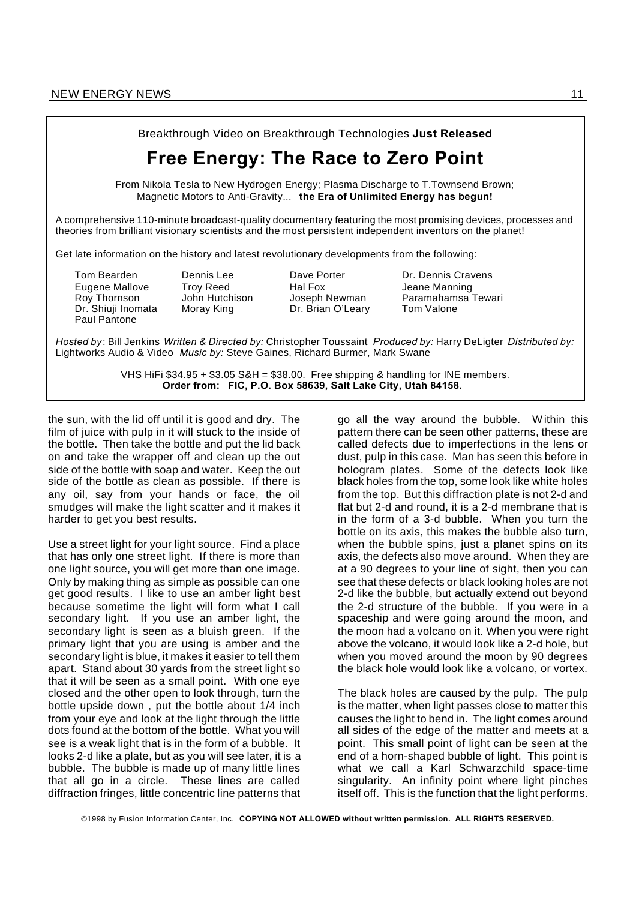

the sun, with the lid off until it is good and dry. The film of juice with pulp in it will stuck to the inside of the bottle. Then take the bottle and put the lid back on and take the wrapper off and clean up the out side of the bottle with soap and water. Keep the out side of the bottle as clean as possible. If there is any oil, say from your hands or face, the oil smudges will make the light scatter and it makes it harder to get you best results.

Use a street light for your light source. Find a place that has only one street light. If there is more than one light source, you will get more than one image. Only by making thing as simple as possible can one get good results. I like to use an amber light best because sometime the light will form what I call secondary light. If you use an amber light, the secondary light is seen as a bluish green. If the primary light that you are using is amber and the secondary light is blue, it makes it easier to tell them apart. Stand about 30 yards from the street light so that it will be seen as a small point. With one eye closed and the other open to look through, turn the bottle upside down , put the bottle about 1/4 inch from your eye and look at the light through the little dots found at the bottom of the bottle. What you will see is a weak light that is in the form of a bubble. It looks 2-d like a plate, but as you will see later, it is a bubble. The bubble is made up of many little lines that all go in a circle. These lines are called diffraction fringes, little concentric line patterns that

go all the way around the bubble. Within this pattern there can be seen other patterns, these are called defects due to imperfections in the lens or dust, pulp in this case. Man has seen this before in hologram plates. Some of the defects look like black holes from the top, some look like white holes from the top. But this diffraction plate is not 2-d and flat but 2-d and round, it is a 2-d membrane that is in the form of a 3-d bubble. When you turn the bottle on its axis, this makes the bubble also turn, when the bubble spins, just a planet spins on its axis, the defects also move around. When they are at a 90 degrees to your line of sight, then you can see that these defects or black looking holes are not 2-d like the bubble, but actually extend out beyond the 2-d structure of the bubble. If you were in a spaceship and were going around the moon, and the moon had a volcano on it. When you were right above the volcano, it would look like a 2-d hole, but when you moved around the moon by 90 degrees the black hole would look like a volcano, or vortex.

The black holes are caused by the pulp. The pulp is the matter, when light passes close to matter this causes the light to bend in. The light comes around all sides of the edge of the matter and meets at a point. This small point of light can be seen at the end of a horn-shaped bubble of light. This point is what we call a Karl Schwarzchild space-time singularity. An infinity point where light pinches itself off. This is the function that the light performs.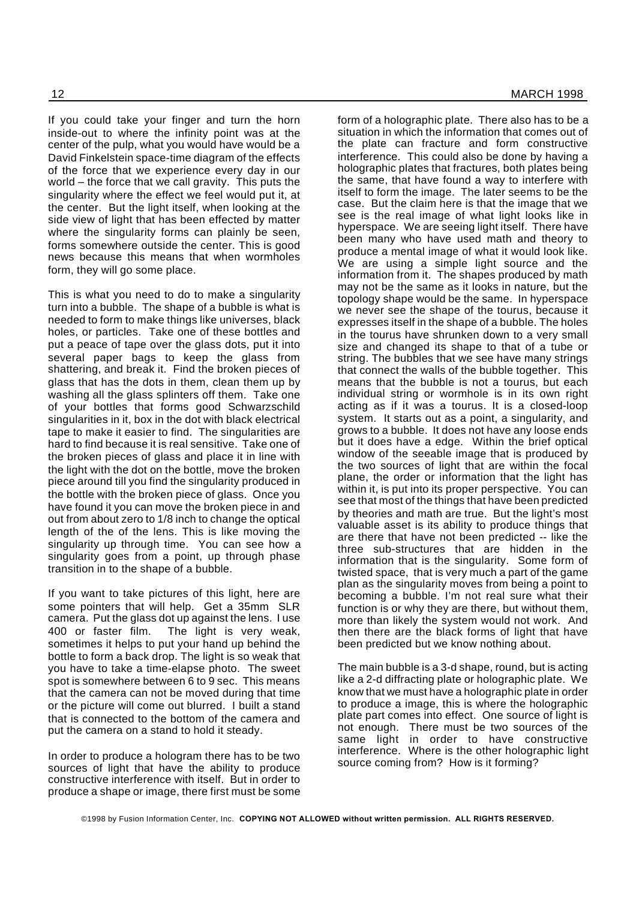If you could take your finger and turn the horn inside-out to where the infinity point was at the center of the pulp, what you would have would be a David Finkelstein space-time diagram of the effects of the force that we experience every day in our world – the force that we call gravity. This puts the singularity where the effect we feel would put it, at the center. But the light itself, when looking at the side view of light that has been effected by matter where the singularity forms can plainly be seen, forms somewhere outside the center. This is good news because this means that when wormholes form, they will go some place.

This is what you need to do to make a singularity turn into a bubble. The shape of a bubble is what is needed to form to make things like universes, black holes, or particles. Take one of these bottles and put a peace of tape over the glass dots, put it into several paper bags to keep the glass from shattering, and break it. Find the broken pieces of glass that has the dots in them, clean them up by washing all the glass splinters off them. Take one of your bottles that forms good Schwarzschild singularities in it, box in the dot with black electrical tape to make it easier to find. The singularities are hard to find because it is real sensitive. Take one of the broken pieces of glass and place it in line with the light with the dot on the bottle, move the broken piece around till you find the singularity produced in the bottle with the broken piece of glass. Once you have found it you can move the broken piece in and out from about zero to 1/8 inch to change the optical length of the of the lens. This is like moving the singularity up through time. You can see how a singularity goes from a point, up through phase transition in to the shape of a bubble.

If you want to take pictures of this light, here are some pointers that will help. Get a 35mm SLR camera. Put the glass dot up against the lens. I use 400 or faster film. The light is very weak, sometimes it helps to put your hand up behind the bottle to form a back drop. The light is so weak that you have to take a time-elapse photo. The sweet spot is somewhere between 6 to 9 sec. This means that the camera can not be moved during that time or the picture will come out blurred. I built a stand that is connected to the bottom of the camera and put the camera on a stand to hold it steady.

In order to produce a hologram there has to be two sources of light that have the ability to produce constructive interference with itself. But in order to produce a shape or image, there first must be some form of a holographic plate. There also has to be a situation in which the information that comes out of the plate can fracture and form constructive interference. This could also be done by having a holographic plates that fractures, both plates being the same, that have found a way to interfere with itself to form the image. The later seems to be the case. But the claim here is that the image that we see is the real image of what light looks like in hyperspace. We are seeing light itself. There have been many who have used math and theory to produce a mental image of what it would look like. We are using a simple light source and the information from it. The shapes produced by math may not be the same as it looks in nature, but the topology shape would be the same. In hyperspace we never see the shape of the tourus, because it expresses itself in the shape of a bubble. The holes in the tourus have shrunken down to a very small size and changed its shape to that of a tube or string. The bubbles that we see have many strings that connect the walls of the bubble together. This means that the bubble is not a tourus, but each individual string or wormhole is in its own right acting as if it was a tourus. It is a closed-loop system. It starts out as a point, a singularity, and grows to a bubble. It does not have any loose ends but it does have a edge. Within the brief optical window of the seeable image that is produced by the two sources of light that are within the focal plane, the order or information that the light has within it, is put into its proper perspective. You can see that most of the things that have been predicted by theories and math are true. But the light's most valuable asset is its ability to produce things that are there that have not been predicted -- like the three sub-structures that are hidden in the information that is the singularity. Some form of twisted space, that is very much a part of the game plan as the singularity moves from being a point to becoming a bubble. I'm not real sure what their function is or why they are there, but without them, more than likely the system would not work. And then there are the black forms of light that have been predicted but we know nothing about.

The main bubble is a 3-d shape, round, but is acting like a 2-d diffracting plate or holographic plate. We know that we must have a holographic plate in order to produce a image, this is where the holographic plate part comes into effect. One source of light is not enough. There must be two sources of the same light in order to have constructive interference. Where is the other holographic light source coming from? How is it forming?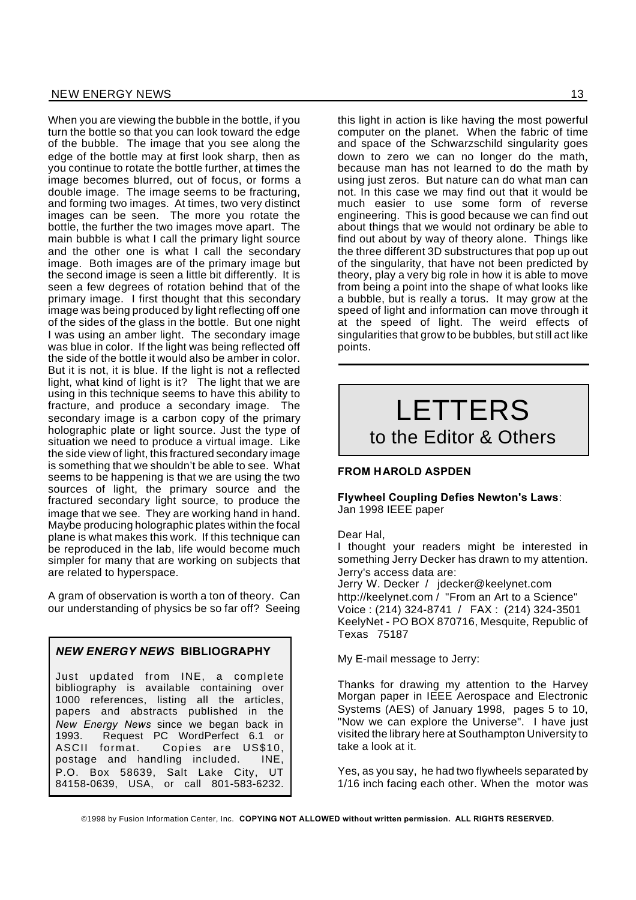When you are viewing the bubble in the bottle, if you turn the bottle so that you can look toward the edge of the bubble. The image that you see along the edge of the bottle may at first look sharp, then as you continue to rotate the bottle further, at times the image becomes blurred, out of focus, or forms a double image. The image seems to be fracturing, and forming two images. At times, two very distinct images can be seen. The more you rotate the bottle, the further the two images move apart. The main bubble is what I call the primary light source and the other one is what I call the secondary image. Both images are of the primary image but the second image is seen a little bit differently. It is seen a few degrees of rotation behind that of the primary image. I first thought that this secondary image was being produced by light reflecting off one of the sides of the glass in the bottle. But one night I was using an amber light. The secondary image was blue in color. If the light was being reflected off the side of the bottle it would also be amber in color. But it is not, it is blue. If the light is not a reflected light, what kind of light is it? The light that we are using in this technique seems to have this ability to fracture, and produce a secondary image. The secondary image is a carbon copy of the primary holographic plate or light source. Just the type of situation we need to produce a virtual image. Like the side view of light, this fractured secondary image is something that we shouldn't be able to see. What seems to be happening is that we are using the two sources of light, the primary source and the fractured secondary light source, to produce the image that we see. They are working hand in hand. Maybe producing holographic plates within the focal plane is what makes this work. If this technique can be reproduced in the lab, life would become much simpler for many that are working on subjects that are related to hyperspace.

A gram of observation is worth a ton of theory. Can our understanding of physics be so far off? Seeing

#### *NEW ENERGY NEWS* **BIBLIOGRAPHY**

Just updated from INE, a complete bibliography is available containing over 1000 references, listing all the articles, papers and abstracts published in the *New Energy News* since we began back in 1993. Request PC WordPerfect 6.1 or ASCII format. Copies are US\$10, postage and handling included. INE, P.O. Box 58639, Salt Lake City, UT 84158-0639, USA, or call 801-583-6232.

this light in action is like having the most powerful computer on the planet. When the fabric of time and space of the Schwarzschild singularity goes down to zero we can no longer do the math, because man has not learned to do the math by using just zeros. But nature can do what man can not. In this case we may find out that it would be much easier to use some form of reverse engineering. This is good because we can find out about things that we would not ordinary be able to find out about by way of theory alone. Things like the three different 3D substructures that pop up out of the singularity, that have not been predicted by theory, play a very big role in how it is able to move from being a point into the shape of what looks like a bubble, but is really a torus. It may grow at the speed of light and information can move through it at the speed of light. The weird effects of singularities that grow to be bubbles, but still act like points.

# LETTERS to the Editor & Others

#### **FROM HAROLD ASPDEN**

**Flywheel Coupling Defies Newton's Laws**: Jan 1998 IEEE paper

#### Dear Hal,

I thought your readers might be interested in something Jerry Decker has drawn to my attention. Jerry's access data are:

Jerry W. Decker / jdecker@keelynet.com http://keelynet.com / "From an Art to a Science" Voice : (214) 324-8741 / FAX : (214) 324-3501 KeelyNet - PO BOX 870716, Mesquite, Republic of Texas 75187

My E-mail message to Jerry:

Thanks for drawing my attention to the Harvey Morgan paper in IEEE Aerospace and Electronic Systems (AES) of January 1998, pages 5 to 10, "Now we can explore the Universe". I have just visited the library here at Southampton University to take a look at it.

Yes, as you say, he had two flywheels separated by 1/16 inch facing each other. When the motor was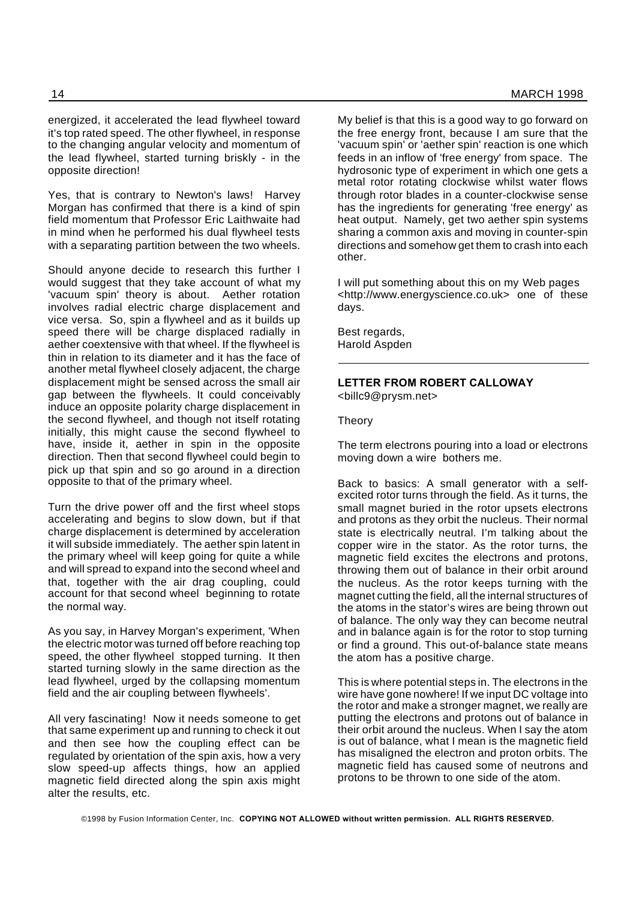energized, it accelerated the lead flywheel toward it's top rated speed. The other flywheel, in response to the changing angular velocity and momentum of the lead flywheel, started turning briskly - in the opposite direction!

Yes, that is contrary to Newton's laws! Harvey Morgan has confirmed that there is a kind of spin field momentum that Professor Eric Laithwaite had in mind when he performed his dual flywheel tests with a separating partition between the two wheels.

Should anyone decide to research this further I would suggest that they take account of what my 'vacuum spin' theory is about. Aether rotation involves radial electric charge displacement and vice versa. So, spin a flywheel and as it builds up speed there will be charge displaced radially in aether coextensive with that wheel. If the flywheel is thin in relation to its diameter and it has the face of another metal flywheel closely adjacent, the charge displacement might be sensed across the small air gap between the flywheels. It could conceivably induce an opposite polarity charge displacement in the second flywheel, and though not itself rotating initially, this might cause the second flywheel to have, inside it, aether in spin in the opposite direction. Then that second flywheel could begin to pick up that spin and so go around in a direction opposite to that of the primary wheel.

Turn the drive power off and the first wheel stops accelerating and begins to slow down, but if that charge displacement is determined by acceleration it will subside immediately. The aether spin latent in the primary wheel will keep going for quite a while and will spread to expand into the second wheel and that, together with the air drag coupling, could account for that second wheel beginning to rotate the normal way.

As you say, in Harvey Morgan's experiment, 'When the electric motor was turned off before reaching top speed, the other flywheel stopped turning. It then started turning slowly in the same direction as the lead flywheel, urged by the collapsing momentum field and the air coupling between flywheels'.

All very fascinating! Now it needs someone to get that same experiment up and running to check it out and then see how the coupling effect can be regulated by orientation of the spin axis, how a very slow speed-up affects things, how an applied magnetic field directed along the spin axis might alter the results, etc.

My belief is that this is a good way to go forward on the free energy front, because I am sure that the 'vacuum spin' or 'aether spin' reaction is one which feeds in an inflow of 'free energy' from space. The hydrosonic type of experiment in which one gets a metal rotor rotating clockwise whilst water flows through rotor blades in a counter-clockwise sense has the ingredients for generating 'free energy' as heat output. Namely, get two aether spin systems sharing a common axis and moving in counter-spin directions and somehow get them to crash into each other.

I will put something about this on my Web pages <http://www.energyscience.co.uk> one of these days.

Best regards, Harold Aspden

#### **LETTER FROM ROBERT CALLOWAY** <billc9@prysm.net>

Theory

The term electrons pouring into a load or electrons moving down a wire bothers me.

Back to basics: A small generator with a selfexcited rotor turns through the field. As it turns, the small magnet buried in the rotor upsets electrons and protons as they orbit the nucleus. Their normal state is electrically neutral. I'm talking about the copper wire in the stator. As the rotor turns, the magnetic field excites the electrons and protons, throwing them out of balance in their orbit around the nucleus. As the rotor keeps turning with the magnet cutting the field, all the internal structures of the atoms in the stator's wires are being thrown out of balance. The only way they can become neutral and in balance again is for the rotor to stop turning or find a ground. This out-of-balance state means the atom has a positive charge.

This is where potential steps in. The electrons in the wire have gone nowhere! If we input DC voltage into the rotor and make a stronger magnet, we really are putting the electrons and protons out of balance in their orbit around the nucleus. When I say the atom is out of balance, what I mean is the magnetic field has misaligned the electron and proton orbits. The magnetic field has caused some of neutrons and protons to be thrown to one side of the atom.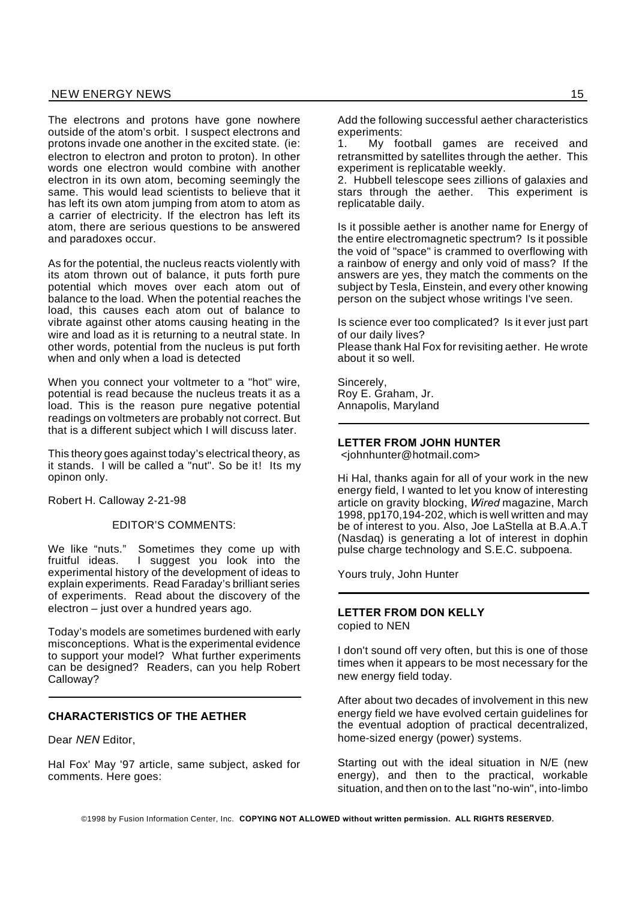#### NEW ENERGY NEWS 15

The electrons and protons have gone nowhere outside of the atom's orbit. I suspect electrons and protons invade one another in the excited state. (ie: electron to electron and proton to proton). In other words one electron would combine with another electron in its own atom, becoming seemingly the same. This would lead scientists to believe that it has left its own atom jumping from atom to atom as a carrier of electricity. If the electron has left its atom, there are serious questions to be answered and paradoxes occur.

As for the potential, the nucleus reacts violently with its atom thrown out of balance, it puts forth pure potential which moves over each atom out of balance to the load. When the potential reaches the load, this causes each atom out of balance to vibrate against other atoms causing heating in the wire and load as it is returning to a neutral state. In other words, potential from the nucleus is put forth when and only when a load is detected

When you connect your voltmeter to a "hot" wire, potential is read because the nucleus treats it as a load. This is the reason pure negative potential readings on voltmeters are probably not correct. But that is a different subject which I will discuss later.

This theory goes against today's electrical theory, as it stands. I will be called a "nut". So be it! Its my opinon only.

Robert H. Calloway 2-21-98

EDITOR'S COMMENTS:

We like "nuts." Sometimes they come up with fruitful ideas. I suggest you look into the experimental history of the development of ideas to explain experiments. Read Faraday's brilliant series of experiments. Read about the discovery of the electron – just over a hundred years ago.

Today's models are sometimes burdened with early misconceptions. What is the experimental evidence to support your model? What further experiments can be designed? Readers, can you help Robert Calloway?

#### **CHARACTERISTICS OF THE AETHER**

Dear *NEN* Editor,

Hal Fox' May '97 article, same subject, asked for comments. Here goes:

Add the following successful aether characteristics experiments:

1. My football games are received and retransmitted by satellites through the aether. This experiment is replicatable weekly.

2. Hubbell telescope sees zillions of galaxies and stars through the aether. This experiment is replicatable daily.

Is it possible aether is another name for Energy of the entire electromagnetic spectrum? Is it possible the void of "space" is crammed to overflowing with a rainbow of energy and only void of mass? If the answers are yes, they match the comments on the subject by Tesla, Einstein, and every other knowing person on the subject whose writings I've seen.

Is science ever too complicated? Is it ever just part of our daily lives?

Please thank Hal Fox for revisiting aether. He wrote about it so well.

Sincerely, Roy E. Graham, Jr. Annapolis, Maryland

#### **LETTER FROM JOHN HUNTER**

<johnhunter@hotmail.com>

Hi Hal, thanks again for all of your work in the new energy field, I wanted to let you know of interesting article on gravity blocking, *Wired* magazine, March 1998, pp170,194-202, which is well written and may be of interest to you. Also, Joe LaStella at B.A.A.T (Nasdaq) is generating a lot of interest in dophin pulse charge technology and S.E.C. subpoena.

Yours truly, John Hunter

#### **LETTER FROM DON KELLY** copied to NEN

I don't sound off very often, but this is one of those times when it appears to be most necessary for the new energy field today.

After about two decades of involvement in this new energy field we have evolved certain guidelines for the eventual adoption of practical decentralized, home-sized energy (power) systems.

Starting out with the ideal situation in N/E (new energy), and then to the practical, workable situation, and then on to the last "no-win", into-limbo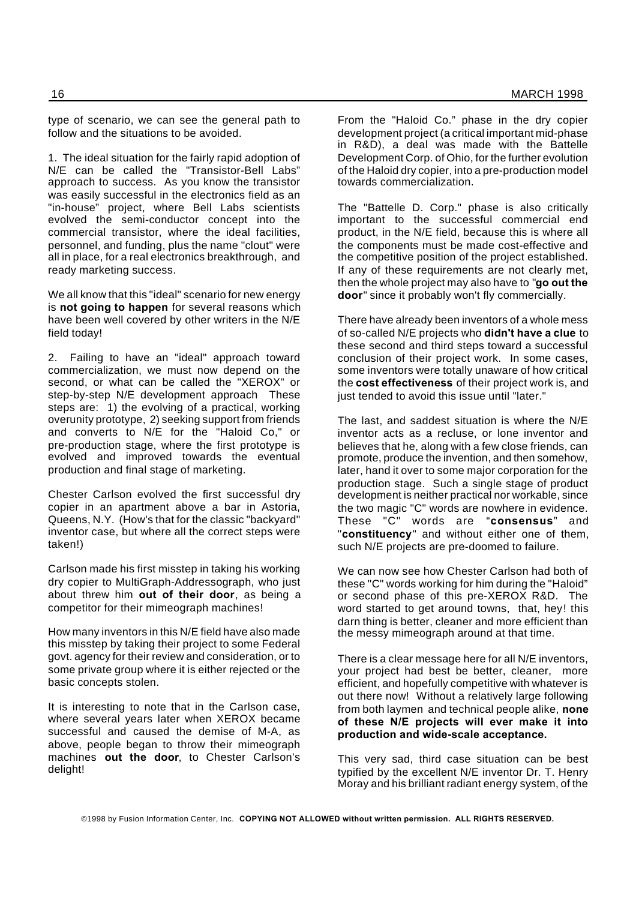type of scenario, we can see the general path to follow and the situations to be avoided.

1. The ideal situation for the fairly rapid adoption of N/E can be called the "Transistor-Bell Labs" approach to success. As you know the transistor was easily successful in the electronics field as an "in-house" project, where Bell Labs scientists evolved the semi-conductor concept into the commercial transistor, where the ideal facilities, personnel, and funding, plus the name "clout" were all in place, for a real electronics breakthrough, and ready marketing success.

We all know that this "ideal" scenario for new energy is **not going to happen** for several reasons which have been well covered by other writers in the N/E field today!

2. Failing to have an "ideal" approach toward commercialization, we must now depend on the second, or what can be called the "XEROX" or step-by-step N/E development approach These steps are: 1) the evolving of a practical, working overunity prototype, 2) seeking support from friends and converts to N/E for the "Haloid Co," or pre-production stage, where the first prototype is evolved and improved towards the eventual production and final stage of marketing.

Chester Carlson evolved the first successful dry copier in an apartment above a bar in Astoria, Queens, N.Y. (How's that for the classic "backyard" inventor case, but where all the correct steps were taken!)

Carlson made his first misstep in taking his working dry copier to MultiGraph-Addressograph, who just about threw him **out of their door**, as being a competitor for their mimeograph machines!

How many inventors in this N/E field have also made this misstep by taking their project to some Federal govt. agency for their review and consideration, or to some private group where it is either rejected or the basic concepts stolen.

It is interesting to note that in the Carlson case, where several years later when XEROX became successful and caused the demise of M-A, as above, people began to throw their mimeograph machines **out the door**, to Chester Carlson's delight!

From the "Haloid Co." phase in the dry copier development project (a critical important mid-phase in R&D), a deal was made with the Battelle Development Corp. of Ohio, for the further evolution of the Haloid dry copier, into a pre-production model towards commercialization.

The "Battelle D. Corp." phase is also critically important to the successful commercial end product, in the N/E field, because this is where all the components must be made cost-effective and the competitive position of the project established. If any of these requirements are not clearly met, then the whole project may also have to "**go out the door**" since it probably won't fly commercially.

There have already been inventors of a whole mess of so-called N/E projects who **didn't have a clue** to these second and third steps toward a successful conclusion of their project work. In some cases, some inventors were totally unaware of how critical the **cost effectiveness** of their project work is, and just tended to avoid this issue until "later."

The last, and saddest situation is where the N/E inventor acts as a recluse, or lone inventor and believes that he, along with a few close friends, can promote, produce the invention, and then somehow, later, hand it over to some major corporation for the production stage. Such a single stage of product development is neither practical nor workable, since the two magic "C" words are nowhere in evidence. These "C" words are "**consensus**" and "**constituency**" and without either one of them, such N/E projects are pre-doomed to failure.

We can now see how Chester Carlson had both of these "C" words working for him during the "Haloid" or second phase of this pre-XEROX R&D. The word started to get around towns, that, hey! this darn thing is better, cleaner and more efficient than the messy mimeograph around at that time.

There is a clear message here for all N/E inventors, your project had best be better, cleaner, more efficient, and hopefully competitive with whatever is out there now! Without a relatively large following from both laymen and technical people alike, **none of these N/E projects will ever make it into production and wide-scale acceptance.**

This very sad, third case situation can be best typified by the excellent N/E inventor Dr. T. Henry Moray and his brilliant radiant energy system, of the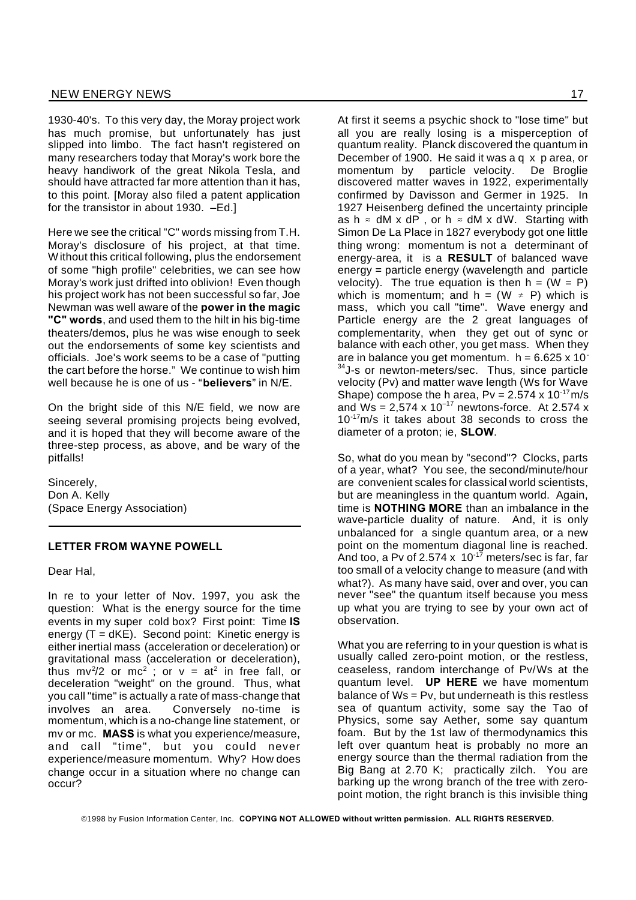1930-40's. To this very day, the Moray project work has much promise, but unfortunately has just slipped into limbo. The fact hasn't registered on many researchers today that Moray's work bore the heavy handiwork of the great Nikola Tesla, and should have attracted far more attention than it has, to this point. [Moray also filed a patent application for the transistor in about 1930. –Ed.]

Here we see the critical "C" words missing from T.H. Moray's disclosure of his project, at that time. Without this critical following, plus the endorsement of some "high profile" celebrities, we can see how Moray's work just drifted into oblivion! Even though his project work has not been successful so far, Joe Newman was well aware of the **power in the magic "C" words**, and used them to the hilt in his big-time theaters/demos, plus he was wise enough to seek out the endorsements of some key scientists and officials. Joe's work seems to be a case of "putting the cart before the horse." We continue to wish him well because he is one of us - "**believers**" in N/E.

On the bright side of this N/E field, we now are seeing several promising projects being evolved, and it is hoped that they will become aware of the three-step process, as above, and be wary of the pitfalls!

Sincerely, Don A. Kelly (Space Energy Association)

#### **LETTER FROM WAYNE POWELL**

Dear Hal,

In re to your letter of Nov. 1997, you ask the question: What is the energy source for the time events in my super cold box? First point: Time **IS** energy  $(T = dKE)$ . Second point: Kinetic energy is either inertial mass (acceleration or deceleration) or gravitational mass (acceleration or deceleration), thus mv<sup>2</sup>/2 or mc<sup>2</sup> ; or v = at<sup>2</sup> in free fall, or deceleration "weight" on the ground. Thus, what you call "time" is actually a rate of mass-change that involves an area. Conversely no-time is momentum, which is a no-change line statement, or mv or mc. **MASS** is what you experience/measure, and call "time", but you could never experience/measure momentum. Why? How does change occur in a situation where no change can occur?

At first it seems a psychic shock to "lose time" but all you are really losing is a misperception of quantum reality. Planck discovered the quantum in December of 1900. He said it was a q x p area, or momentum by particle velocity. De Broglie discovered matter waves in 1922, experimentally confirmed by Davisson and Germer in 1925. In 1927 Heisenberg defined the uncertainty principle as h  $\approx$  dM x dP, or h  $\approx$  dM x dW. Starting with Simon De La Place in 1827 everybody got one little thing wrong: momentum is not a determinant of energy-area, it is a **RESULT** of balanced wave energy = particle energy (wavelength and particle velocity). The true equation is then  $h = (W = P)$ which is momentum; and  $h = (W \neq P)$  which is mass, which you call "time". Wave energy and Particle energy are the 2 great languages of complementarity, when they get out of sync or balance with each other, you get mass. When they are in balance you get momentum.  $h = 6.625 \times 10^{-7}$ <sup>34</sup>J-s or newton-meters/sec. Thus, since particle velocity (Pv) and matter wave length (Ws for Wave Shape) compose the h area,  $Pv = 2.574 \times 10^{-17}$  m/s and  $Ws = 2.574 \times 10^{-17}$  newtons-force. At 2.574 x 10-17m/s it takes about 38 seconds to cross the diameter of a proton; ie, **SLOW**.

So, what do you mean by "second"? Clocks, parts of a year, what? You see, the second/minute/hour are convenient scales for classical world scientists, but are meaningless in the quantum world. Again, time is **NOTHING MORE** than an imbalance in the wave-particle duality of nature. And, it is only unbalanced for a single quantum area, or a new point on the momentum diagonal line is reached. And too, a Pv of 2.574 x 10<sup>-17</sup> meters/sec is far, far too small of a velocity change to measure (and with what?). As many have said, over and over, you can never "see" the quantum itself because you mess up what you are trying to see by your own act of observation.

What you are referring to in your question is what is usually called zero-point motion, or the restless, ceaseless, random interchange of Pv/Ws at the quantum level. **UP HERE** we have momentum balance of Ws = Pv, but underneath is this restless sea of quantum activity, some say the Tao of Physics, some say Aether, some say quantum foam. But by the 1st law of thermodynamics this left over quantum heat is probably no more an energy source than the thermal radiation from the Big Bang at 2.70 K; practically zilch. You are barking up the wrong branch of the tree with zeropoint motion, the right branch is this invisible thing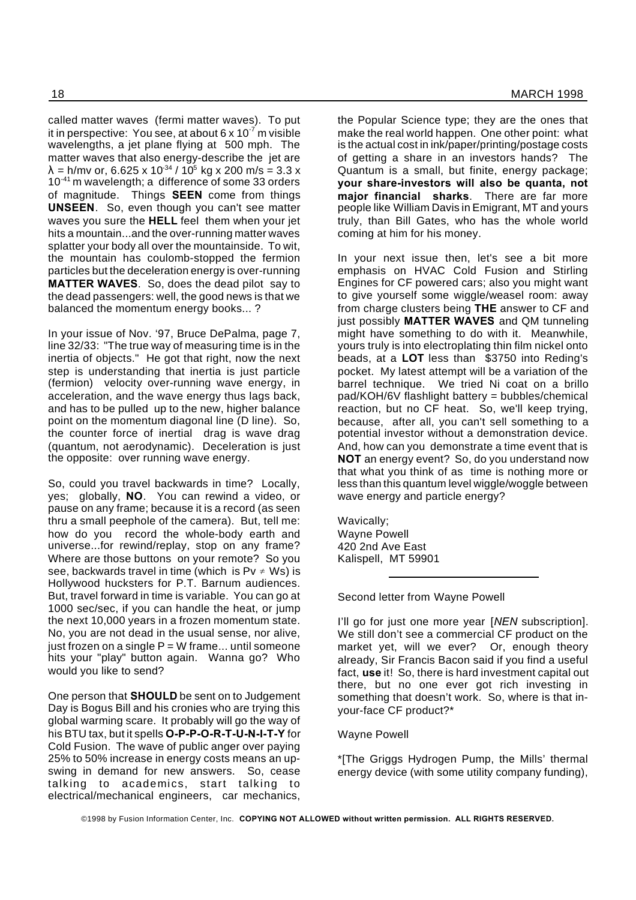called matter waves (fermi matter waves). To put it in perspective: You see, at about 6 x  $10^{-7}$  m visible wavelengths, a jet plane flying at 500 mph. The matter waves that also energy-describe the jet are  $\lambda$  = h/mv or, 6.625 x 10<sup>-34</sup> / 10<sup>5</sup> kg x 200 m/s = 3.3 x 10<sup>-41</sup> m wavelength; a difference of some 33 orders of magnitude. Things **SEEN** come from things **UNSEEN**. So, even though you can't see matter waves you sure the **HELL** feel them when your jet hits a mountain...and the over-running matter waves splatter your body all over the mountainside. To wit, the mountain has coulomb-stopped the fermion particles but the deceleration energy is over-running **MATTER WAVES**. So, does the dead pilot say to the dead passengers: well, the good news is that we balanced the momentum energy books... ?

In your issue of Nov. '97, Bruce DePalma, page 7, line 32/33: "The true way of measuring time is in the inertia of objects." He got that right, now the next step is understanding that inertia is just particle (fermion) velocity over-running wave energy, in acceleration, and the wave energy thus lags back, and has to be pulled up to the new, higher balance point on the momentum diagonal line (D line). So, the counter force of inertial drag is wave drag (quantum, not aerodynamic). Deceleration is just the opposite: over running wave energy.

So, could you travel backwards in time? Locally, yes; globally, **NO**. You can rewind a video, or pause on any frame; because it is a record (as seen thru a small peephole of the camera). But, tell me: how do you record the whole-body earth and universe...for rewind/replay, stop on any frame? Where are those buttons on your remote? So you see, backwards travel in time (which is  $Pv \neq Ws$ ) is Hollywood hucksters for P.T. Barnum audiences. But, travel forward in time is variable. You can go at 1000 sec/sec, if you can handle the heat, or jump the next 10,000 years in a frozen momentum state. No, you are not dead in the usual sense, nor alive, just frozen on a single  $P = W$  frame... until someone hits your "play" button again. Wanna go? Who would you like to send?

One person that **SHOULD** be sent on to Judgement Day is Bogus Bill and his cronies who are trying this global warming scare. It probably will go the way of his BTU tax, but it spells **O-P-P-O-R-T-U-N-I-T-Y** for Cold Fusion. The wave of public anger over paying 25% to 50% increase in energy costs means an upswing in demand for new answers. So, cease talking to academics, start talking to electrical/mechanical engineers, car mechanics,

the Popular Science type; they are the ones that make the real world happen. One other point: what is the actual cost in ink/paper/printing/postage costs of getting a share in an investors hands? The Quantum is a small, but finite, energy package; **your share-investors will also be quanta, not major financial sharks**. There are far more people like William Davis in Emigrant, MT and yours truly, than Bill Gates, who has the whole world coming at him for his money.

In your next issue then, let's see a bit more emphasis on HVAC Cold Fusion and Stirling Engines for CF powered cars; also you might want to give yourself some wiggle/weasel room: away from charge clusters being **THE** answer to CF and just possibly **MATTER WAVES** and QM tunneling might have something to do with it. Meanwhile, yours truly is into electroplating thin film nickel onto beads, at a **LOT** less than \$3750 into Reding's pocket. My latest attempt will be a variation of the barrel technique. We tried Ni coat on a brillo pad/KOH/6V flashlight battery = bubbles/chemical reaction, but no CF heat. So, we'll keep trying, because, after all, you can't sell something to a potential investor without a demonstration device. And, how can you demonstrate a time event that is **NOT** an energy event? So, do you understand now that what you think of as time is nothing more or less than this quantum level wiggle/woggle between wave energy and particle energy?

Wavically; Wayne Powell 420 2nd Ave East Kalispell, MT 59901

Second letter from Wayne Powell

I'll go for just one more year [*NEN* subscription]. We still don't see a commercial CF product on the market yet, will we ever? Or, enough theory already, Sir Francis Bacon said if you find a useful fact, **use** it! So, there is hard investment capital out there, but no one ever got rich investing in something that doesn't work. So, where is that inyour-face CF product?\*

#### Wayne Powell

\*[The Griggs Hydrogen Pump, the Mills' thermal energy device (with some utility company funding),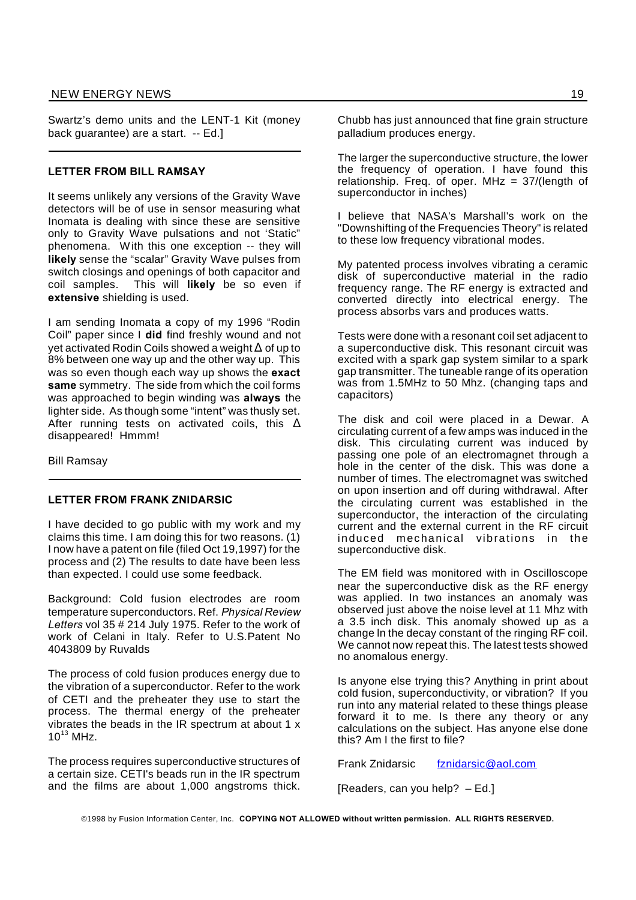#### NEW ENERGY NEWS 19

Swartz's demo units and the LENT-1 Kit (money back guarantee) are a start. -- Ed.]

#### **LETTER FROM BILL RAMSAY**

It seems unlikely any versions of the Gravity Wave detectors will be of use in sensor measuring what Inomata is dealing with since these are sensitive only to Gravity Wave pulsations and not 'Static" phenomena. With this one exception -- they will **likely** sense the "scalar" Gravity Wave pulses from switch closings and openings of both capacitor and coil samples. This will **likely** be so even if **extensive** shielding is used.

I am sending Inomata a copy of my 1996 "Rodin Coil" paper since I **did** find freshly wound and not vet activated Rodin Coils showed a weight  $\Delta$  of up to 8% between one way up and the other way up. This was so even though each way up shows the **exact same** symmetry. The side from which the coil forms was approached to begin winding was **always** the lighter side. As though some "intent" was thusly set. After running tests on activated coils, this  $\Delta$ disappeared! Hmmm!

Bill Ramsay

#### **LETTER FROM FRANK ZNIDARSIC**

I have decided to go public with my work and my claims this time. I am doing this for two reasons. (1) I now have a patent on file (filed Oct 19,1997) for the process and (2) The results to date have been less than expected. I could use some feedback.

Background: Cold fusion electrodes are room temperature superconductors. Ref. *Physical Review Letters* vol 35 # 214 July 1975. Refer to the work of work of Celani in Italy. Refer to U.S.Patent No 4043809 by Ruvalds

The process of cold fusion produces energy due to the vibration of a superconductor. Refer to the work of CETI and the preheater they use to start the process. The thermal energy of the preheater vibrates the beads in the IR spectrum at about 1 x  $10^{13}$  MH<sub>z</sub>.

The process requires superconductive structures of a certain size. CETI's beads run in the IR spectrum and the films are about 1,000 angstroms thick.

Chubb has just announced that fine grain structure palladium produces energy.

The larger the superconductive structure, the lower the frequency of operation. I have found this relationship. Freq. of oper. MHz =  $37/(length of$ superconductor in inches)

I believe that NASA's Marshall's work on the "Downshifting of the Frequencies Theory" is related to these low frequency vibrational modes.

My patented process involves vibrating a ceramic disk of superconductive material in the radio frequency range. The RF energy is extracted and converted directly into electrical energy. The process absorbs vars and produces watts.

Tests were done with a resonant coil set adjacent to a superconductive disk. This resonant circuit was excited with a spark gap system similar to a spark gap transmitter. The tuneable range of its operation was from 1.5MHz to 50 Mhz. (changing taps and capacitors)

The disk and coil were placed in a Dewar. A circulating current of a few amps was induced in the disk. This circulating current was induced by passing one pole of an electromagnet through a hole in the center of the disk. This was done a number of times. The electromagnet was switched on upon insertion and off during withdrawal. After the circulating current was established in the superconductor, the interaction of the circulating current and the external current in the RF circuit induced mechanical vibrations in the superconductive disk.

The EM field was monitored with in Oscilloscope near the superconductive disk as the RF energy was applied. In two instances an anomaly was observed just above the noise level at 11 Mhz with a 3.5 inch disk. This anomaly showed up as a change ln the decay constant of the ringing RF coil. We cannot now repeat this. The latest tests showed no anomalous energy.

Is anyone else trying this? Anything in print about cold fusion, superconductivity, or vibration? If you run into any material related to these things please forward it to me. Is there any theory or any calculations on the subject. Has anyone else done this? Am I the first to file?

Frank Znidarsic fznidarsic@aol.com

[Readers, can you help? – Ed.]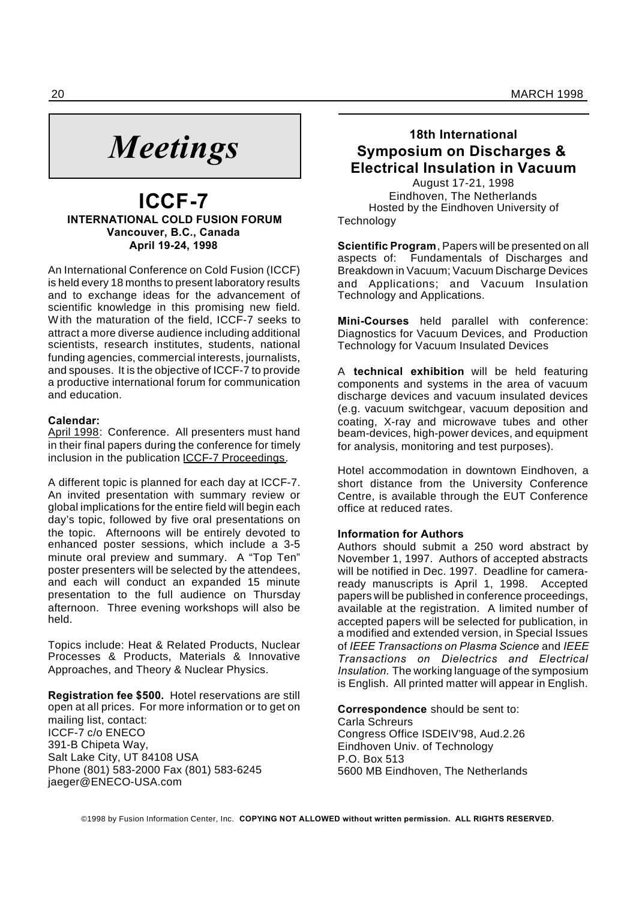# *Meetings*

### **ICCF-7 INTERNATIONAL COLD FUSION FORUM Vancouver, B.C., Canada April 19-24, 1998**

An International Conference on Cold Fusion (ICCF) is held every 18 months to present laboratory results and to exchange ideas for the advancement of scientific knowledge in this promising new field. With the maturation of the field, ICCF-7 seeks to attract a more diverse audience including additional scientists, research institutes, students, national funding agencies, commercial interests, journalists, and spouses. It is the objective of ICCF-7 to provide a productive international forum for communication and education.

#### **Calendar:**

April 1998: Conference. All presenters must hand in their final papers during the conference for timely inclusion in the publication ICCF-7 Proceedings.

A different topic is planned for each day at ICCF-7. An invited presentation with summary review or global implications for the entire field will begin each day's topic, followed by five oral presentations on the topic. Afternoons will be entirely devoted to enhanced poster sessions, which include a 3-5 minute oral preview and summary. A "Top Ten" poster presenters will be selected by the attendees, and each will conduct an expanded 15 minute presentation to the full audience on Thursday afternoon. Three evening workshops will also be held.

Topics include: Heat & Related Products, Nuclear Processes & Products, Materials & Innovative Approaches, and Theory & Nuclear Physics.

**Registration fee \$500.** Hotel reservations are still open at all prices. For more information or to get on mailing list, contact: ICCF-7 c/o ENECO 391-B Chipeta Way, Salt Lake City, UT 84108 USA Phone (801) 583-2000 Fax (801) 583-6245 jaeger@ENECO-USA.com

### **18th International Symposium on Discharges & Electrical Insulation in Vacuum**

August 17-21, 1998 Eindhoven, The Netherlands Hosted by the Eindhoven University of **Technology** 

**Scientific Program**, Papers will be presented on all aspects of: Fundamentals of Discharges and Breakdown in Vacuum; Vacuum Discharge Devices and Applications; and Vacuum Insulation Technology and Applications.

**Mini-Courses** held parallel with conference: Diagnostics for Vacuum Devices, and Production Technology for Vacuum Insulated Devices

A **technical exhibition** will be held featuring components and systems in the area of vacuum discharge devices and vacuum insulated devices (e.g. vacuum switchgear, vacuum deposition and coating, X-ray and microwave tubes and other beam-devices, high-power devices, and equipment for analysis, monitoring and test purposes).

Hotel accommodation in downtown Eindhoven, a short distance from the University Conference Centre, is available through the EUT Conference office at reduced rates.

#### **Information for Authors**

Authors should submit a 250 word abstract by November 1, 1997. Authors of accepted abstracts will be notified in Dec. 1997. Deadline for cameraready manuscripts is April 1, 1998. Accepted papers will be published in conference proceedings, available at the registration. A limited number of accepted papers will be selected for publication, in a modified and extended version, in Special Issues of *IEEE Transactions on Plasma Science* and *IEEE Transactions on Dielectrics and Electrical Insulation.* The working language of the symposium is English. All printed matter will appear in English.

**Correspondence** should be sent to:

Carla Schreurs Congress Office ISDEIV'98, Aud.2.26 Eindhoven Univ. of Technology P.O. Box 513 5600 MB Eindhoven, The Netherlands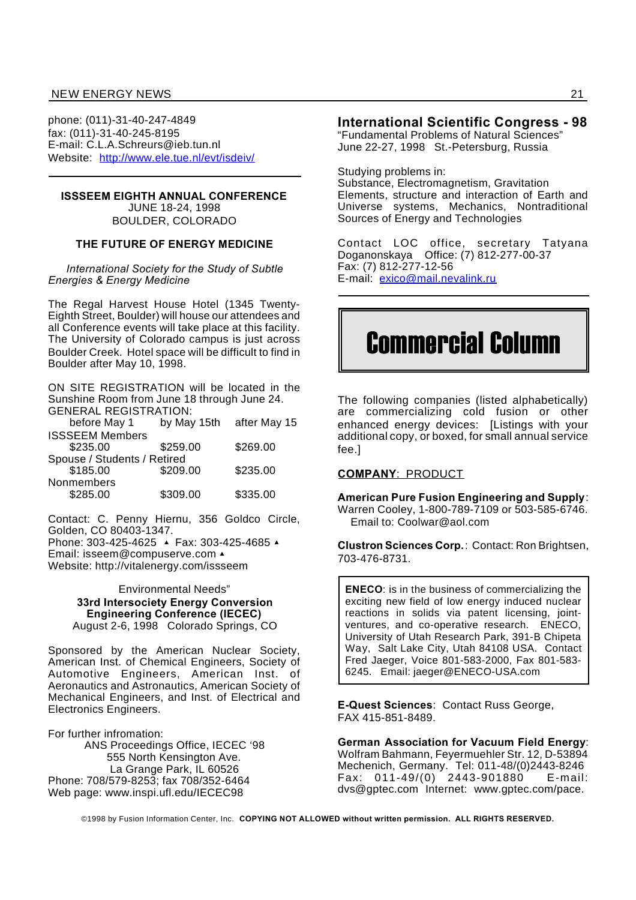#### NEW ENERGY NEWS 21

phone: (011)-31-40-247-4849 fax: (011)-31-40-245-8195 E-mail: C.L.A.Schreurs@ieb.tun.nl Website: http://www.ele.tue.nl/evt/isdeiv/

#### **ISSSEEM EIGHTH ANNUAL CONFERENCE**

JUNE 18-24, 1998 BOULDER, COLORADO

#### **THE FUTURE OF ENERGY MEDICINE**

*International Society for the Study of Subtle Energies & Energy Medicine*

The Regal Harvest House Hotel (1345 Twenty-Eighth Street, Boulder) will house our attendees and all Conference events will take place at this facility. The University of Colorado campus is just across Boulder Creek. Hotel space will be difficult to find in Boulder after May 10, 1998.

ON SITE REGISTRATION will be located in the Sunshine Room from June 18 through June 24. GENERAL REGISTRATION:

| before May 1                |          | by May 15th after May 15 |
|-----------------------------|----------|--------------------------|
| <b>ISSSEEM Members</b>      |          |                          |
| \$235.00                    | \$259.00 | \$269.00                 |
| Spouse / Students / Retired |          |                          |
| \$185.00                    | \$209.00 | \$235.00                 |
| Nonmembers                  |          |                          |
| \$285.00                    | \$309.00 | \$335.00                 |

Contact: C. Penny Hiernu, 356 Goldco Circle, Golden, CO 80403-1347.

Phone: 303-425-4625 ▲ Fax: 303-425-4685 ▲ Email: isseem@compuserve.com ^ Website: http://vitalenergy.com/issseem

> Environmental Needs" **33rd Intersociety Energy Conversion Engineering Conference (IECEC)** August 2-6, 1998 Colorado Springs, CO

Sponsored by the American Nuclear Society, American Inst. of Chemical Engineers, Society of Automotive Engineers, American Inst. of Aeronautics and Astronautics, American Society of Mechanical Engineers, and Inst. of Electrical and Electronics Engineers.

For further infromation:

ANS Proceedings Office, IECEC '98 555 North Kensington Ave. La Grange Park, IL 60526 Phone: 708/579-8253; fax 708/352-6464 Web page: www.inspi.ufl.edu/IECEC98

#### **International Scientific Congress - 98**

"Fundamental Problems of Natural Sciences" June 22-27, 1998 St.-Petersburg, Russia

Studying problems in:

Substance, Electromagnetism, Gravitation Elements, structure and interaction of Earth and Universe systems, Mechanics, Nontraditional Sources of Energy and Technologies

Contact LOC office, secretary Tatyana Doganonskaya Office: (7) 812-277-00-37 Fax: (7) 812-277-12-56 E-mail: exico@mail.nevalink.ru

# Commercial Column

The following companies (listed alphabetically) are commercializing cold fusion or other enhanced energy devices: [Listings with your additional copy, or boxed, for small annual service fee.]

#### **COMPANY**: PRODUCT

**American Pure Fusion Engineering and Supply**: Warren Cooley, 1-800-789-7109 or 503-585-6746. Email to: Coolwar@aol.com

**Clustron Sciences Corp.**: Contact: Ron Brightsen, 703-476-8731.

**ENECO**: is in the business of commercializing the exciting new field of low energy induced nuclear reactions in solids via patent licensing, jointventures, and co-operative research. ENECO, University of Utah Research Park, 391-B Chipeta Way, Salt Lake City, Utah 84108 USA. Contact Fred Jaeger, Voice 801-583-2000, Fax 801-583- 6245. Email: jaeger@ENECO-USA.com

**E-Quest Sciences**: Contact Russ George, FAX 415-851-8489.

**German Association for Vacuum Field Energy**: Wolfram Bahmann, Feyermuehler Str. 12, D-53894 Mechenich, Germany. Tel: 011-48/(0)2443-8246 Fax: 011-49/(0) 2443-901880 E-mail: dvs@gptec.com Internet: www.gptec.com/pace.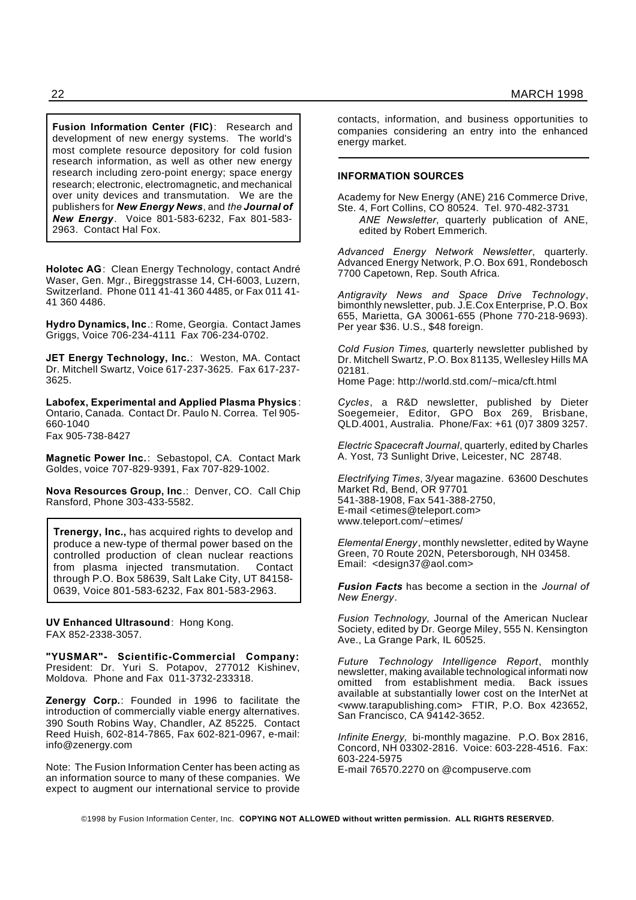**Fusion Information Center (FIC)**: Research and development of new energy systems. The world's most complete resource depository for cold fusion research information, as well as other new energy research including zero-point energy; space energy research; electronic, electromagnetic, and mechanical over unity devices and transmutation. We are the publishers for *New Energy News*, and *the Journal of New Energy.* Voice 801-583-6232, Fax 801-583- 2963. Contact Hal Fox.

**Holotec AG**: Clean Energy Technology, contact André Waser, Gen. Mgr., Bireggstrasse 14, CH-6003, Luzern, Switzerland. Phone 011 41-41 360 4485, or Fax 011 41- 41 360 4486.

**Hydro Dynamics, Inc**.: Rome, Georgia. Contact James Griggs, Voice 706-234-4111 Fax 706-234-0702.

**JET Energy Technology, Inc.**: Weston, MA. Contact Dr. Mitchell Swartz, Voice 617-237-3625. Fax 617-237- 3625.

**Labofex, Experimental and Applied Plasma Physics** : Ontario, Canada. Contact Dr. Paulo N. Correa. Tel 905- 660-1040 Fax 905-738-8427

**Magnetic Power Inc.**: Sebastopol, CA. Contact Mark Goldes, voice 707-829-9391, Fax 707-829-1002.

**Nova Resources Group, Inc**.: Denver, CO. Call Chip Ransford, Phone 303-433-5582.

**Trenergy, Inc.,** has acquired rights to develop and produce a new-type of thermal power based on the controlled production of clean nuclear reactions from plasma injected transmutation. Contact through P.O. Box 58639, Salt Lake City, UT 84158- 0639, Voice 801-583-6232, Fax 801-583-2963.

**UV Enhanced Ultrasound**: Hong Kong. FAX 852-2338-3057.

**"YUSMAR"- Scientific-Commercial Company:** President: Dr. Yuri S. Potapov, 277012 Kishinev, Moldova. Phone and Fax 011-3732-233318.

**Zenergy Corp.**: Founded in 1996 to facilitate the introduction of commercially viable energy alternatives. 390 South Robins Way, Chandler, AZ 85225. Contact Reed Huish, 602-814-7865, Fax 602-821-0967, e-mail: info@zenergy.com

Note: The Fusion Information Center has been acting as an information source to many of these companies. We expect to augment our international service to provide contacts, information, and business opportunities to companies considering an entry into the enhanced energy market.

#### **INFORMATION SOURCES**

Academy for New Energy (ANE) 216 Commerce Drive, Ste. 4, Fort Collins, CO 80524. Tel. 970-482-3731

*ANE Newsletter*, quarterly publication of ANE, edited by Robert Emmerich.

*Advanced Energy Network Newsletter*, quarterly. Advanced Energy Network, P.O. Box 691, Rondebosch 7700 Capetown, Rep. South Africa.

*Antigravity News and Space Drive Technology*, bimonthly newsletter, pub. J.E.Cox Enterprise, P.O. Box 655, Marietta, GA 30061-655 (Phone 770-218-9693). Per year \$36. U.S., \$48 foreign.

*Cold Fusion Times,* quarterly newsletter published by Dr. Mitchell Swartz, P.O. Box 81135, Wellesley Hills MA 02181.

Home Page: http://world.std.com/~mica/cft.html

*Cycles*, a R&D newsletter, published by Dieter Soegemeier, Editor, GPO Box 269, Brisbane, QLD.4001, Australia. Phone/Fax: +61 (0)7 3809 3257.

*Electric Spacecraft Journal*, quarterly, edited by Charles A. Yost, 73 Sunlight Drive, Leicester, NC 28748.

*Electrifying Times*, 3/year magazine. 63600 Deschutes Market Rd, Bend, OR 97701 541-388-1908, Fax 541-388-2750, E-mail <etimes@teleport.com> www.teleport.com/~etimes/

*Elemental Energy*, monthly newsletter, edited by Wayne Green, 70 Route 202N, Petersborough, NH 03458. Email: <design37@aol.com>

*Fusion Facts* has become a section in the *Journal of New Energy*.

*Fusion Technology,* Journal of the American Nuclear Society, edited by Dr. George Miley, 555 N. Kensington Ave., La Grange Park, IL 60525.

*Future Technology Intelligence Report*, monthly newsletter, making available technological informati now omitted from establishment media. Back issues available at substantially lower cost on the InterNet at <www.tarapublishing.com> FTIR, P.O. Box 423652, San Francisco, CA 94142-3652.

*Infinite Energy,* bi-monthly magazine. P.O. Box 2816, Concord, NH 03302-2816. Voice: 603-228-4516. Fax: 603-224-5975 E-mail 76570.2270 on @compuserve.com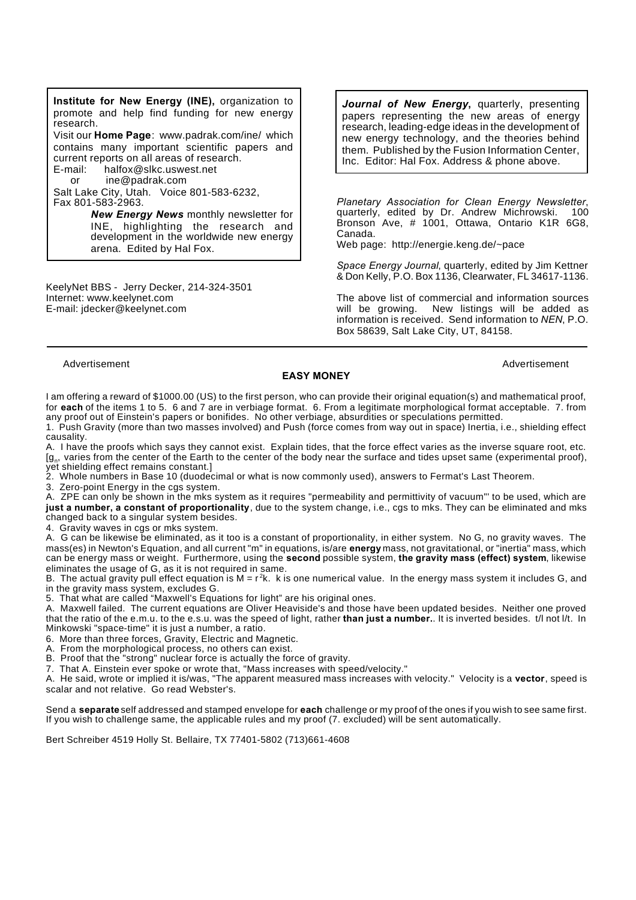**Institute for New Energy (INE),** organization to promote and help find funding for new energy research. Visit our **Home Page**: www.padrak.com/ine/ which contains many important scientific papers and current reports on all areas of research.

E-mail: halfox@slkc.uswest.net<br>or ine@padrak.com

ine@padrak.com

Salt Lake City, Utah. Voice 801-583-6232, Fax 801-583-2963.

> *New Energy News* monthly newsletter for INE, highlighting the research and development in the worldwide new energy arena. Edited by Hal Fox.

KeelyNet BBS - Jerry Decker, 214-324-3501 Internet: www.keelynet.com E-mail: jdecker@keelynet.com

*Journal of New Energy***,** quarterly, presenting papers representing the new areas of energy research, leading-edge ideas in the development of new energy technology, and the theories behind them. Published by the Fusion Information Center, Inc. Editor: Hal Fox. Address & phone above.

*Planetary Association for Clean Energy Newsletter*, quarterly, edited by Dr. Andrew Michrowski. Bronson Ave, # 1001, Ottawa, Ontario K1R 6G8, Canada.

Web page: http://energie.keng.de/~pace

*Space Energy Journal*, quarterly, edited by Jim Kettner & Don Kelly, P.O. Box 1136, Clearwater, FL 34617-1136.

The above list of commercial and information sources<br>will be growing. New listings will be added as New listings will be added as information is received. Send information to *NEN*, P.O. Box 58639, Salt Lake City, UT, 84158.

#### Advertisement **Advertisement** Advertisement **Advertisement** Advertisement **Advertisement**

#### **EASY MONEY**

I am offering a reward of \$1000.00 (US) to the first person, who can provide their original equation(s) and mathematical proof,

for **each** of the items 1 to 5. 6 and 7 are in verbiage format. 6. From a legitimate morphological format acceptable. 7. from any proof out of Einstein's papers or bonifides. No other verbiage, absurdities or speculations permitted. 1. Push Gravity (more than two masses involved) and Push (force comes from way out in space) Inertia, i.e., shielding effect

causality. A. I have the proofs which says they cannot exist. Explain tides, that the force effect varies as the inverse square root, etc.

[g<sup>n</sup> , varies from the center of the Earth to the center of the body near the surface and tides upset same (experimental proof), yet shielding effect remains constant.]

2. Whole numbers in Base 10 (duodecimal or what is now commonly used), answers to Fermat's Last Theorem.

3. Zero-point Energy in the cgs system.

A. ZPE can only be shown in the mks system as it requires "permeability and permittivity of vacuum"' to be used, which are **just a number, a constant of proportionality**, due to the system change, i.e., cgs to mks. They can be eliminated and mks changed back to a singular system besides.

4. Gravity waves in cgs or mks system.

A. G can be likewise be eliminated, as it too is a constant of proportionality, in either system. No G, no gravity waves. The mass(es) in Newton's Equation, and all current "m" in equations, is/are **energy** mass, not gravitational, or "inertia" mass, which can be energy mass or weight. Furthermore, using the **second** possible system, **the gravity mass (effect) system**, likewise eliminates the usage of G, as it is not required in same.

B. The actual gravity pull effect equation is  $M = r^2k$ . k is one numerical value. In the energy mass system it includes G, and in the gravity mass system, excludes G.

5. That what are called "Maxwell's Equations for light" are his original ones.

A. Maxwell failed. The current equations are Oliver Heaviside's and those have been updated besides. Neither one proved that the ratio of the e.m.u. to the e.s.u. was the speed of light, rather **than just a number.**. It is inverted besides. t/l not l/t. In Minkowski "space-time" it is just a number, a ratio.

6. More than three forces, Gravity, Electric and Magnetic.

A. From the morphological process, no others can exist.

B. Proof that the "strong" nuclear force is actually the force of gravity.

7. That A. Einstein ever spoke or wrote that, "Mass increases with speed/velocity."

A. He said, wrote or implied it is/was, "The apparent measured mass increases with velocity." Velocity is a **vector**, speed is scalar and not relative. Go read Webster's.

Send a **separate** self addressed and stamped envelope for **each** challenge or my proof of the ones if you wish to see same first. If you wish to challenge same, the applicable rules and my proof (7. excluded) will be sent automatically.

Bert Schreiber 4519 Holly St. Bellaire, TX 77401-5802 (713)661-4608